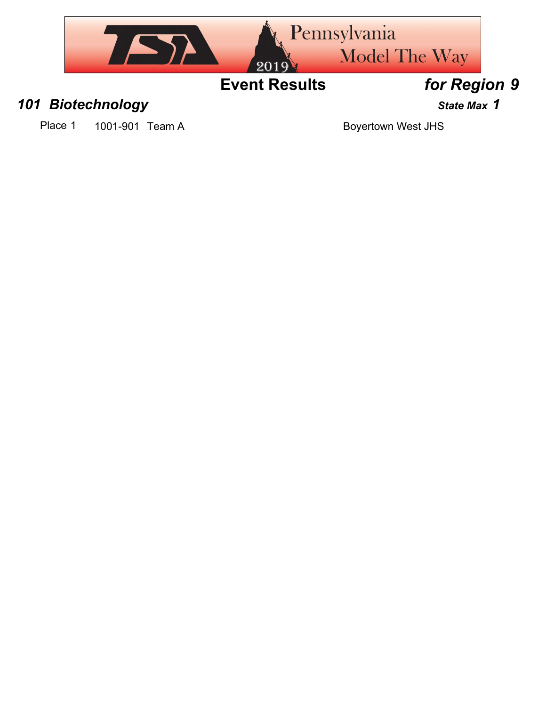

### *101 Biotechnology State Max 1*

Place 1 1001-901 Team A Boyertown West JHS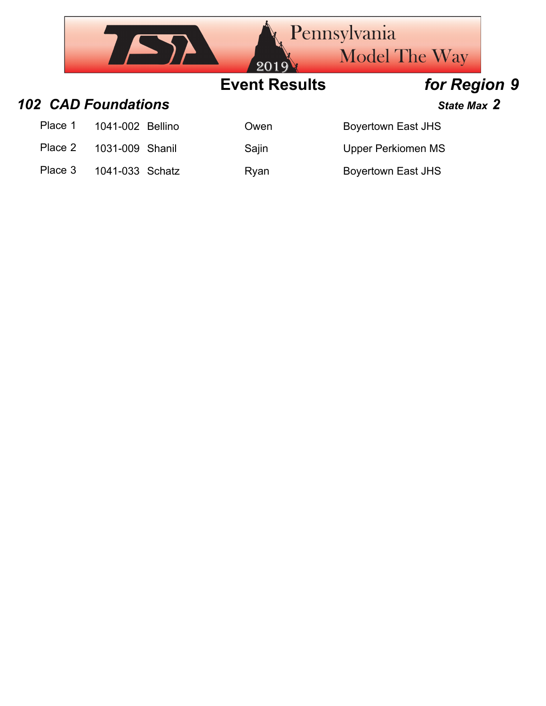|         |                            | 2019                 | <b>Pennsylvania</b><br><b>Model The Way</b> |  |
|---------|----------------------------|----------------------|---------------------------------------------|--|
|         |                            | <b>Event Results</b> | for Region 9                                |  |
|         | <b>102 CAD Foundations</b> |                      | State Max 2                                 |  |
| Place 1 | 1041-002 Bellino           | Owen                 | <b>Boyertown East JHS</b>                   |  |
| Place 2 | 1031-009 Shanil            | Sajin                | <b>Upper Perkiomen MS</b>                   |  |
| Place 3 | 1041-033 Schatz            | Ryan                 | <b>Boyertown East JHS</b>                   |  |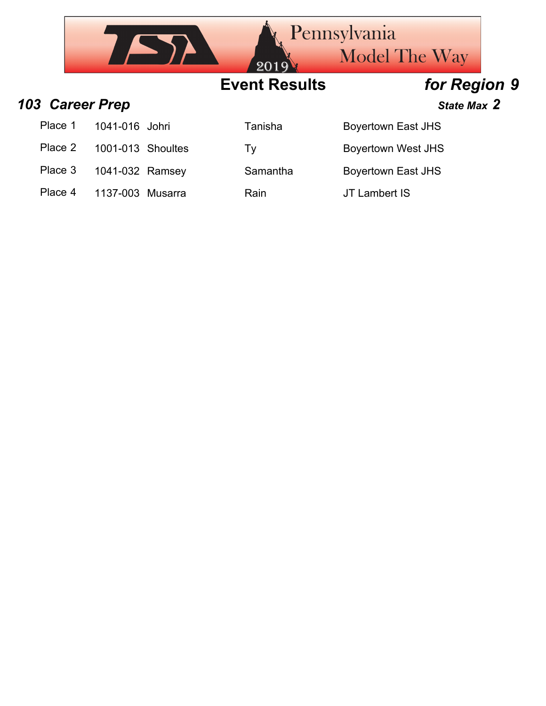

Place 4 1137-003 Musarra Rain Rain JT Lambert IS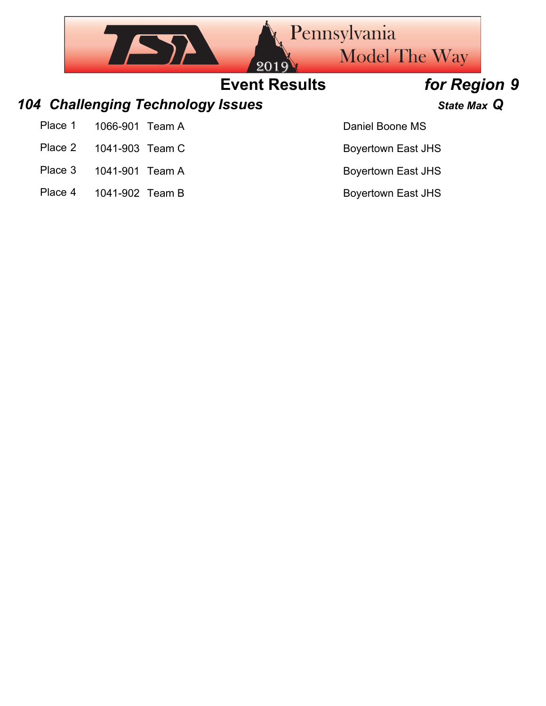|         |                 |                                          | 201                  | <b>Pennsylvania</b><br><b>Model The Way</b> |  |
|---------|-----------------|------------------------------------------|----------------------|---------------------------------------------|--|
|         |                 |                                          | <b>Event Results</b> | for Region 9                                |  |
|         |                 | <b>104 Challenging Technology Issues</b> |                      | State Max Q                                 |  |
| Place 1 | 1066-901 Team A |                                          |                      | Daniel Boone MS                             |  |
| Place 2 | 1041-903 Team C |                                          |                      | <b>Boyertown East JHS</b>                   |  |
| Place 3 | 1041-901        | Team A                                   |                      | <b>Boyertown East JHS</b>                   |  |

Place 4 1041-902 Team B Boyertown East JHS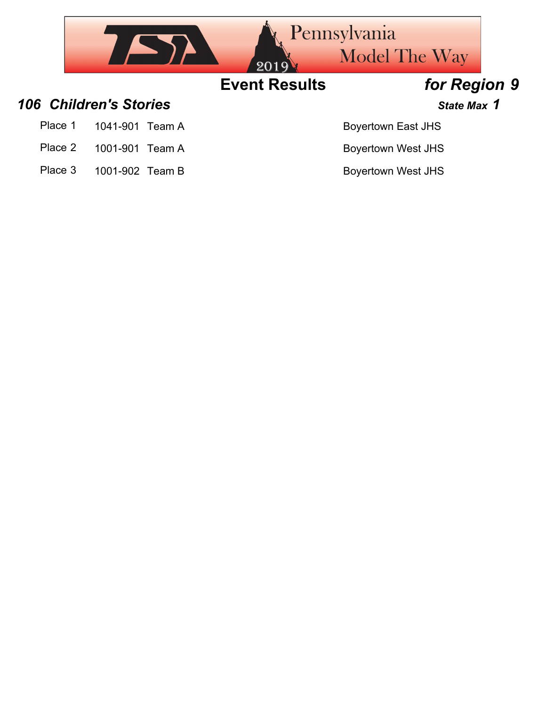

- Place 2 1001-901 Team A Boyertown West JHS
- Place 3 1001-902 Team B Boyertown West JHS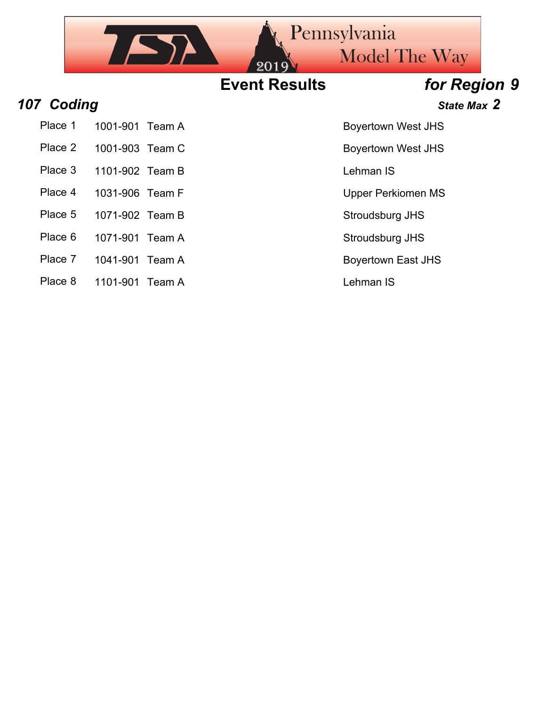

- 
- Place 2 1001-903 Team C Boyertown West JHS
- Place 3 1101-902 Team B Lehman IS
- 
- 
- Place 5 1071-902 Team B Stroudsburg JHS
- Place 6 1071-901 Team A Stroudsburg JHS
- Place 7 1041-901 Team A Boyertown East JHS
- Place 8 1101-901 Team A Lehman IS

Place 4 1031-906 Team F Upper Perkiomen MS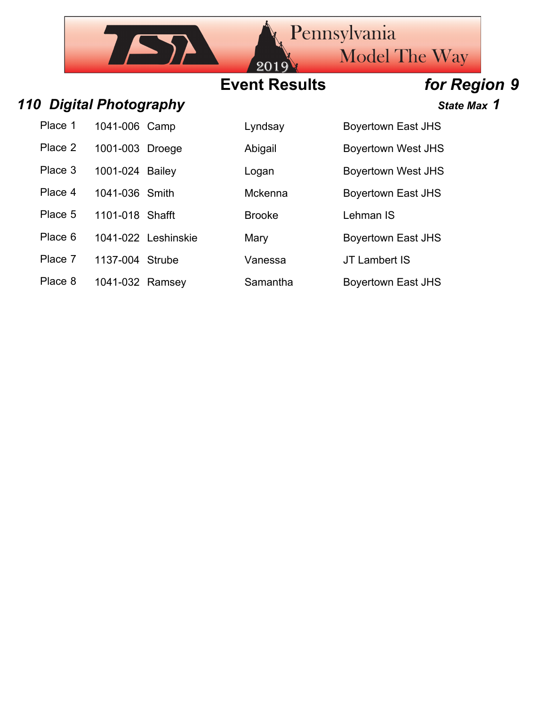## **Event Results** *for Region 9*

 $20<sub>2</sub>$ 

### **110 Digital Photography**

 $757$ 

| Place 1 | 1041-006 Camp     |  |
|---------|-------------------|--|
| Place 2 | 1001-003 Droege   |  |
| Place 3 | 1001-024 Bailey   |  |
| Place 4 | 1041-036 Smith    |  |
| Place 5 | 1101-018 Shafft   |  |
| Place 6 | 1041-022 Leshinsk |  |
|         |                   |  |

- Place 7 1137-004 Strube Vanessa JT Lambert IS
- Place 8 1041-032 Ramsey Samantha Boyertown East JHS

| <b>State Max 1</b> |  |
|--------------------|--|

Lyndsay Boyertown East JHS Abigail Boyertown West JHS

Model The Way

Logan Boyertown West JHS

Mckenna Boyertown East JHS

**Brooke** Lehman IS

Pennsylvania

ie 6 Mary 105 Boyertown East JHS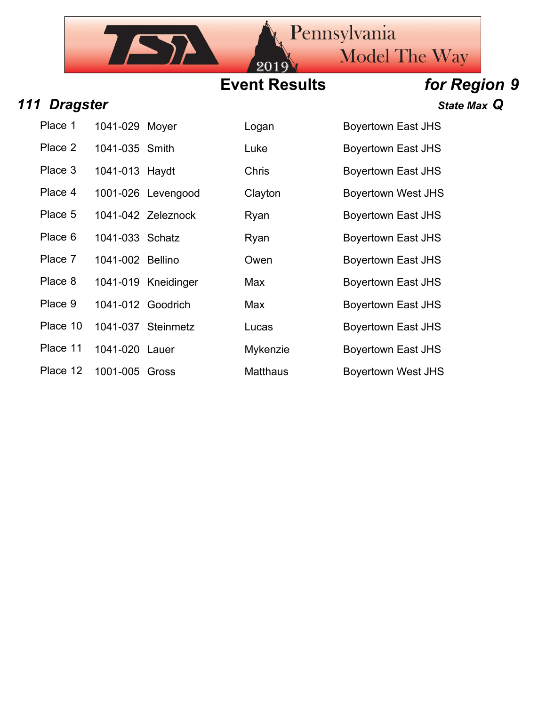## **Event Results** *for Region 9*

20

| 111 Dragster |                  |                     |                 | State Max Q               |
|--------------|------------------|---------------------|-----------------|---------------------------|
| Place 1      | 1041-029 Moyer   |                     | Logan           | <b>Boyertown East JHS</b> |
| Place 2      | 1041-035 Smith   |                     | Luke            | <b>Boyertown East JHS</b> |
| Place 3      | 1041-013 Haydt   |                     | <b>Chris</b>    | <b>Boyertown East JHS</b> |
| Place 4      |                  | 1001-026 Levengood  | Clayton         | <b>Boyertown West JHS</b> |
| Place 5      |                  | 1041-042 Zeleznock  | Ryan            | <b>Boyertown East JHS</b> |
| Place 6      | 1041-033 Schatz  |                     | Ryan            | Boyertown East JHS        |
| Place 7      | 1041-002 Bellino |                     | Owen            | <b>Boyertown East JHS</b> |
| Place 8      |                  | 1041-019 Kneidinger | Max             | <b>Bovertown East JHS</b> |
| Place 9      |                  | 1041-012 Goodrich   | Max             | <b>Boyertown East JHS</b> |
| Place 10     |                  | 1041-037 Steinmetz  | Lucas           | <b>Boyertown East JHS</b> |
| Place 11     | 1041-020 Lauer   |                     | Mykenzie        | <b>Boyertown East JHS</b> |
| Place 12     | 1001-005 Gross   |                     | <b>Matthaus</b> | <b>Boyertown West JHS</b> |

IST

| Place 1  | 1041-029 Moyer    |                     | Logan           | <b>Boyertown East JHS</b> |
|----------|-------------------|---------------------|-----------------|---------------------------|
| Place 2  | 1041-035 Smith    |                     | Luke            | <b>Boyertown East JHS</b> |
| Place 3  | 1041-013 Haydt    |                     | <b>Chris</b>    | <b>Boyertown East JHS</b> |
| Place 4  |                   | 1001-026 Levengood  | Clayton         | <b>Boyertown West JHS</b> |
| Place 5  |                   | 1041-042 Zeleznock  | Ryan            | <b>Boyertown East JHS</b> |
| Place 6  | 1041-033 Schatz   |                     | Ryan            | <b>Boyertown East JHS</b> |
| Place 7  | 1041-002 Bellino  |                     | Owen            | <b>Boyertown East JHS</b> |
| Place 8  |                   | 1041-019 Kneidinger | Max             | <b>Boyertown East JHS</b> |
| Place 9  | 1041-012 Goodrich |                     | Max             | <b>Boyertown East JHS</b> |
| Place 10 |                   | 1041-037 Steinmetz  | Lucas           | <b>Boyertown East JHS</b> |
| Place 11 | 1041-020 Lauer    |                     | Mykenzie        | <b>Boyertown East JHS</b> |
| Place 12 | 1001-005 Gross    |                     | <b>Matthaus</b> | <b>Boyertown West JHS</b> |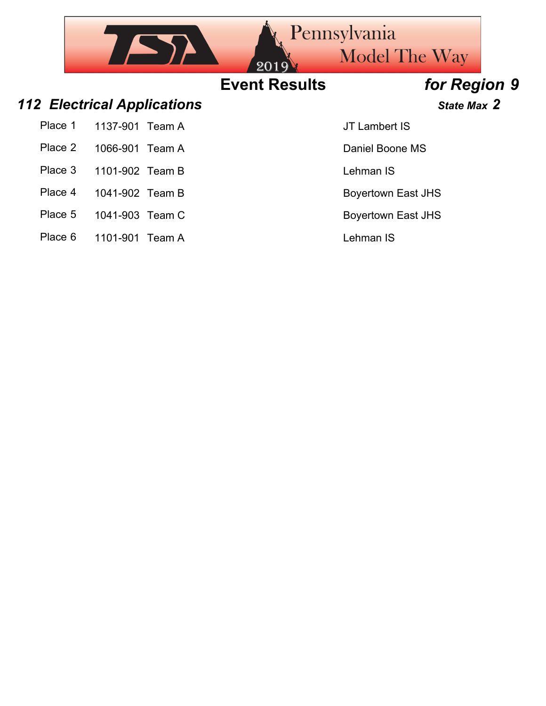|         |                                    |        | 2019                 | Pennsylvania<br><b>Model The Way</b> |  |
|---------|------------------------------------|--------|----------------------|--------------------------------------|--|
|         |                                    |        | <b>Event Results</b> | for Region 9                         |  |
|         | <b>112 Electrical Applications</b> |        |                      | State Max 2                          |  |
| Place 1 | 1137-901                           | Team A |                      | JT Lambert IS                        |  |
| Place 2 | 1066-901                           | Team A |                      | Daniel Boone MS                      |  |
| Place 3 | 1101-902 Team B                    |        |                      | Lehman IS                            |  |
| Place 4 | 1041-902 Team B                    |        |                      | <b>Boyertown East JHS</b>            |  |
| Place 5 | 1041-903 Team C                    |        |                      | <b>Boyertown East JHS</b>            |  |
| Place 6 | 1101-901 Team A                    |        |                      | Lehman IS                            |  |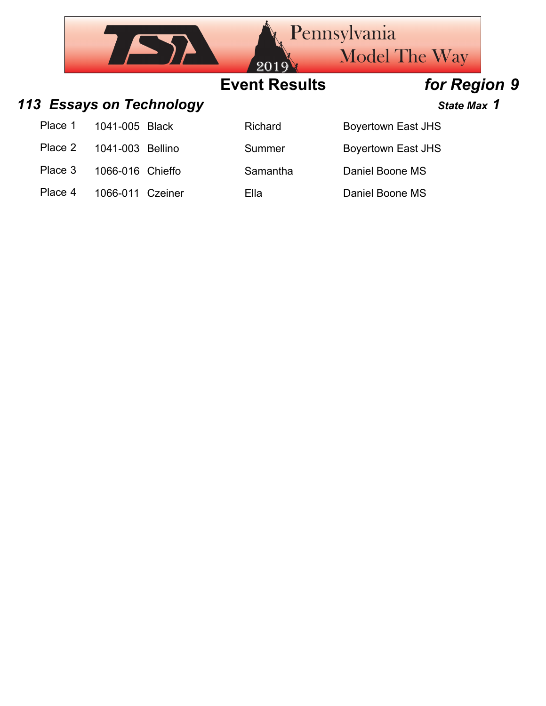|         |                          |              | 2019'                | <b>Pennsylvania</b><br><b>Model The Way</b> |  |
|---------|--------------------------|--------------|----------------------|---------------------------------------------|--|
|         |                          |              | <b>Event Results</b> | for Region 9                                |  |
|         | 113 Essays on Technology |              |                      | State Max 1                                 |  |
| Place 1 | 1041-005                 | <b>Black</b> | <b>Richard</b>       | <b>Boyertown East JHS</b>                   |  |
| Place 2 | 1041-003 Bellino         |              | Summer               | <b>Boyertown East JHS</b>                   |  |
| Place 3 | 1066-016 Chieffo         |              | Samantha             | Daniel Boone MS                             |  |
| Place 4 | 1066-011                 | Czeiner      | Ella                 | Daniel Boone MS                             |  |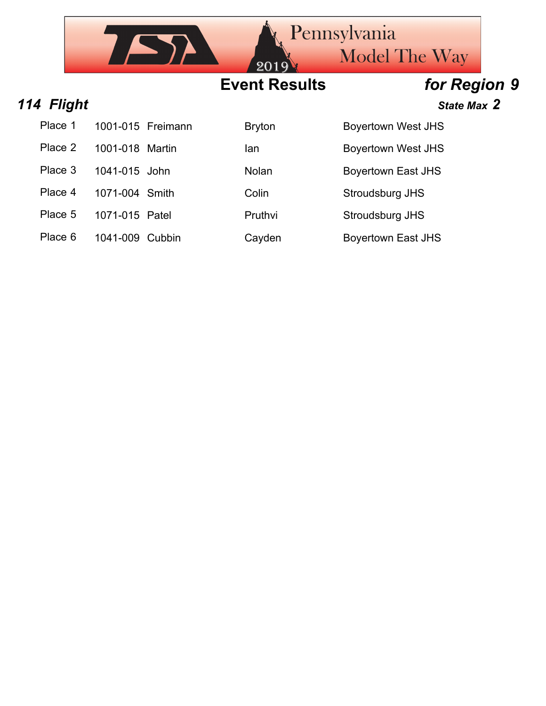|            |                   |     | 2019                 | <b>Rennsylvania</b><br><b>Model The Way</b> |  |
|------------|-------------------|-----|----------------------|---------------------------------------------|--|
|            |                   |     | <b>Event Results</b> | for Region 9                                |  |
| 114 Flight |                   |     |                      | State Max 2                                 |  |
| Place 1    | 1001-015 Freimann |     | <b>Bryton</b>        | <b>Boyertown West JHS</b>                   |  |
| Place 2    | 1001-018 Martin   | lan |                      | <b>Boyertown West JHS</b>                   |  |
| Place 3    | 1041-015 John     |     | Nolan                | <b>Boyertown East JHS</b>                   |  |
| Place 4    | 1071-004 Smith    |     | Colin                | Stroudsburg JHS                             |  |

Place 5 1071-015 Patel Pruthvi Stroudsburg JHS

Place 6 1041-009 Cubbin Cayden Boyertown East JHS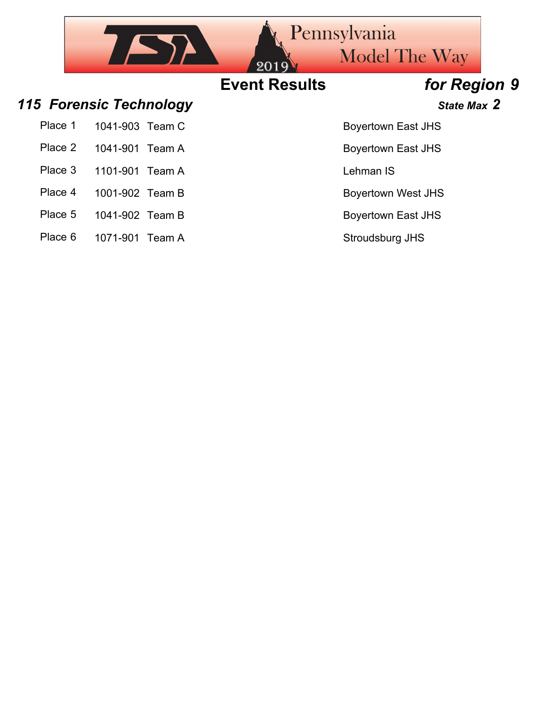|         |                         | 2019                 | <b>Rennsylvania</b><br><b>Model The Way</b> |  |
|---------|-------------------------|----------------------|---------------------------------------------|--|
|         |                         | <b>Event Results</b> | for Region 9                                |  |
|         | 115 Forensic Technology |                      | State Max 2                                 |  |
| Place 1 | 1041-903 Team C         |                      | <b>Boyertown East JHS</b>                   |  |
| Place 2 | 1041-901 Team A         |                      | <b>Boyertown East JHS</b>                   |  |
| Place 3 | 1101-901 Team A         |                      | Lehman IS                                   |  |
| Place 4 | 1001-902 Team B         |                      | <b>Boyertown West JHS</b>                   |  |
| Place 5 | 1041-902 Team B         |                      | <b>Boyertown East JHS</b>                   |  |

Place 6 1071-901 Team A Stroudsburg JHS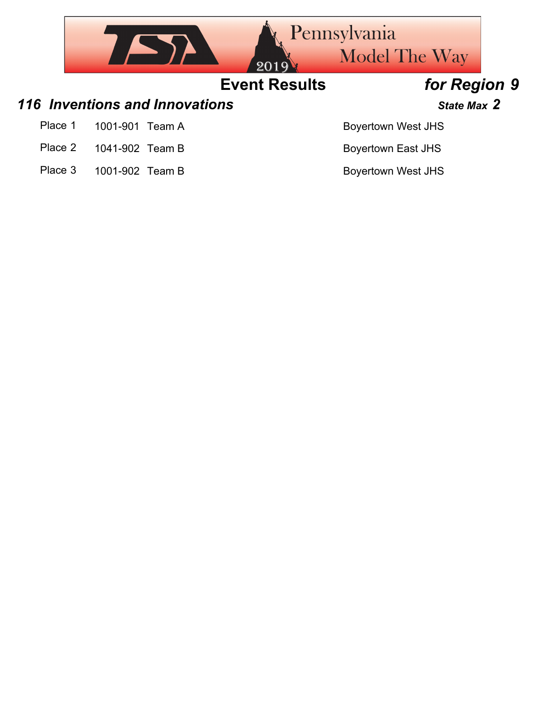

Place 3 1001-902 Team B Boyertown West JHS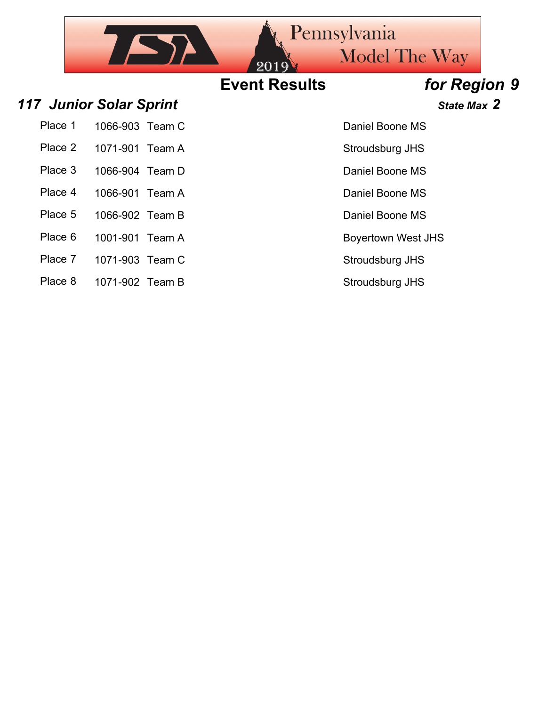## Pennsylvania  $752$ **Model The Way Event Results** *for Region 9 117 Junior Solar Sprint State Max 2* Daniel Boone MS Place 2 1071-901 Team A Stroudsburg JHS

| Place 1 | 1066-903 Team C |  |
|---------|-----------------|--|
|         |                 |  |

- 
- Place 3 1066-904 Team D Daniel Boone MS
- Place 4 1066-901 Team A Daniel Boone MS
- Place 5 1066-902 Team B Daniel Boone MS
- Place 6 1001-901 Team A Boyertown West JHS
- Place 7 1071-903 Team C Stroudsburg JHS
- Place 8 1071-902 Team B Stroudsburg JHS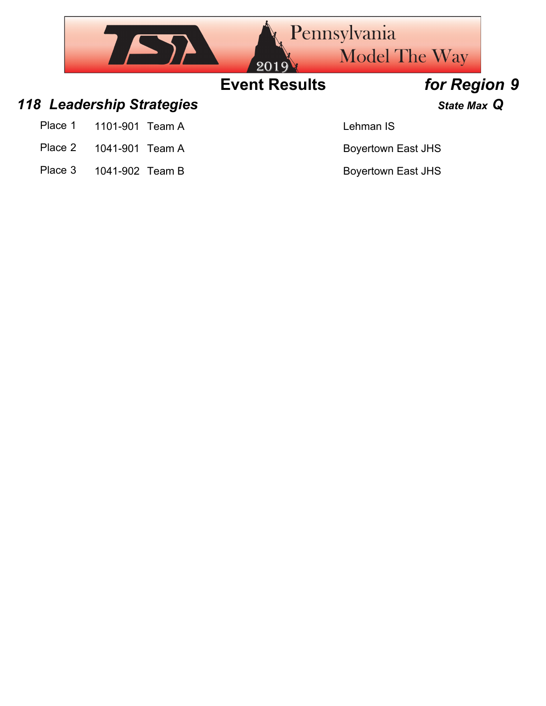

Place 3 1041-902 Team B Boyertown East JHS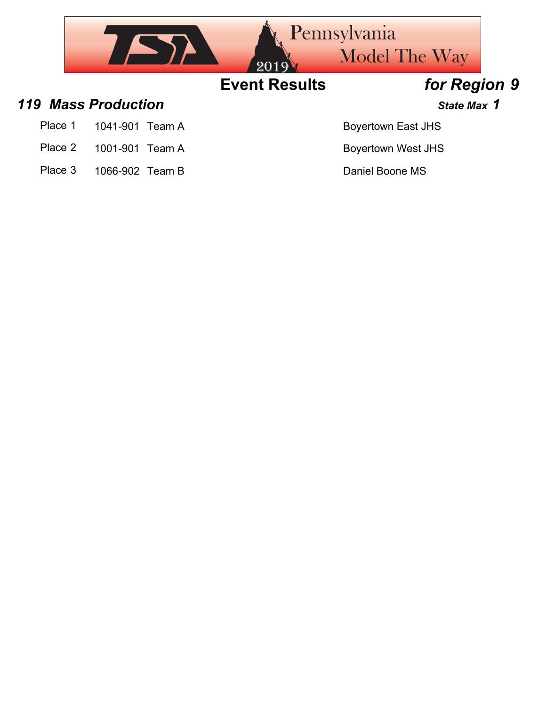

- Place 1 1041-901 Team A Boyertown East JHS
- Place 2 1001-901 Team A Boyertown West JHS
- Place 3 1066-902 Team B Daniel Boone MS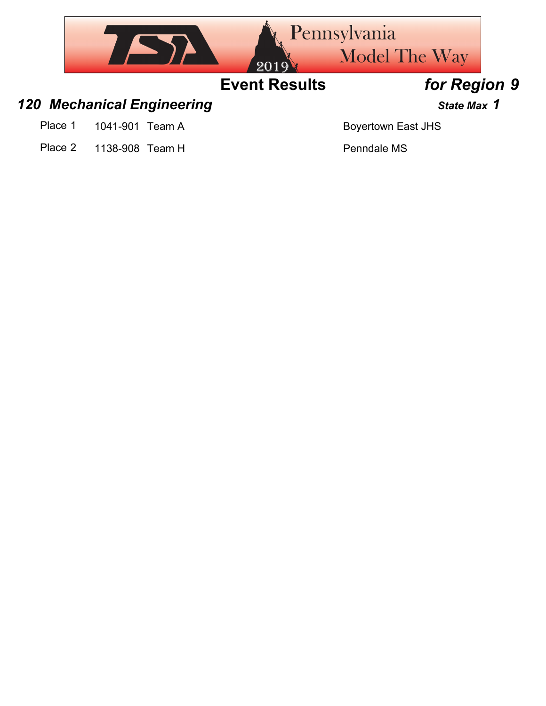

- 
- Place 2 1138-908 Team H Place 2 Penndale MS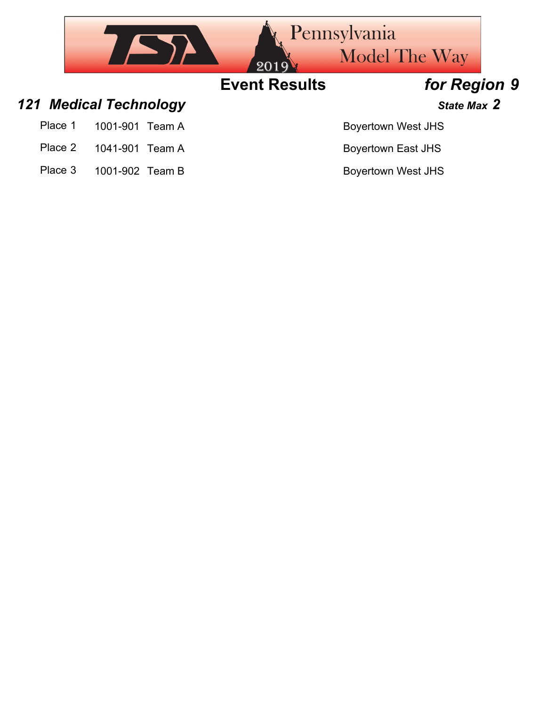

- Place 2 1041-901 Team A Boyertown East JHS
- Place 3 1001-902 Team B Boyertown West JHS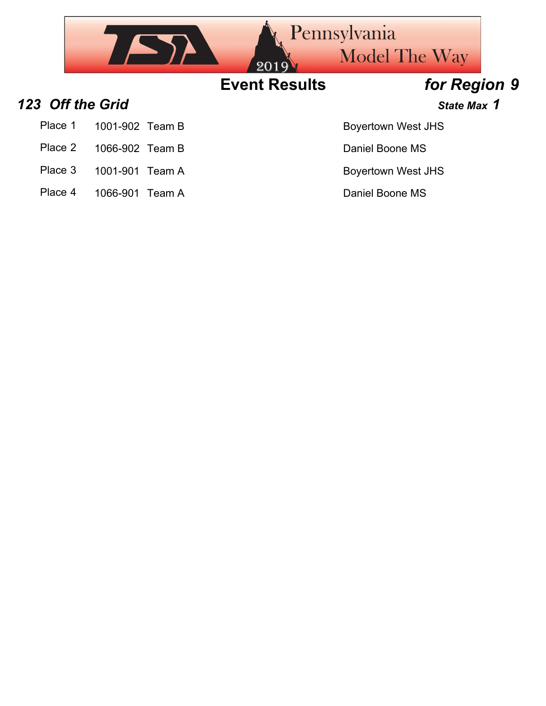

- 
- Place 3 1001-901 Team A Boyertown West JHS
- Place 4 1066-901 Team A Daniel Boone MS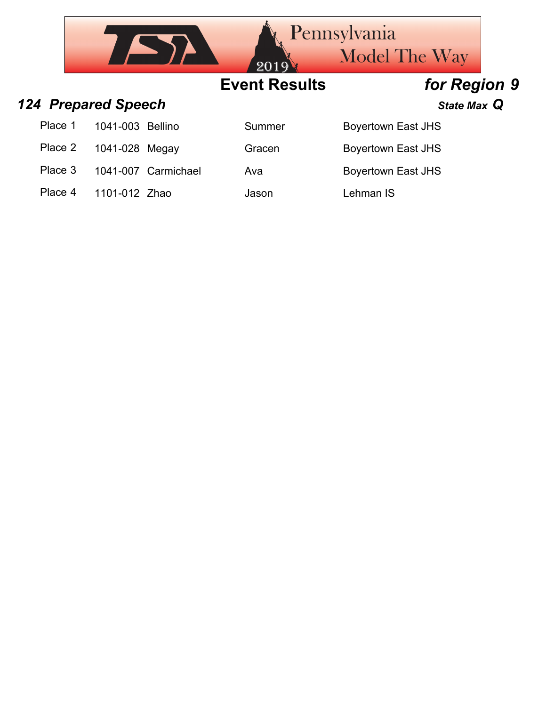|         |                            |                     | 2019                 | <b>Pennsylvania</b><br><b>Model The Way</b> |  |
|---------|----------------------------|---------------------|----------------------|---------------------------------------------|--|
|         |                            |                     | <b>Event Results</b> | for Region 9                                |  |
|         | <b>124 Prepared Speech</b> |                     |                      | State Max Q                                 |  |
| Place 1 | 1041-003 Bellino           |                     | Summer               | <b>Boyertown East JHS</b>                   |  |
| Place 2 | 1041-028 Megay             |                     | Gracen               | <b>Boyertown East JHS</b>                   |  |
| Place 3 |                            | 1041-007 Carmichael | Ava                  | <b>Boyertown East JHS</b>                   |  |
| Place 4 | 1101-012 Zhao              |                     | Jason                | Lehman IS                                   |  |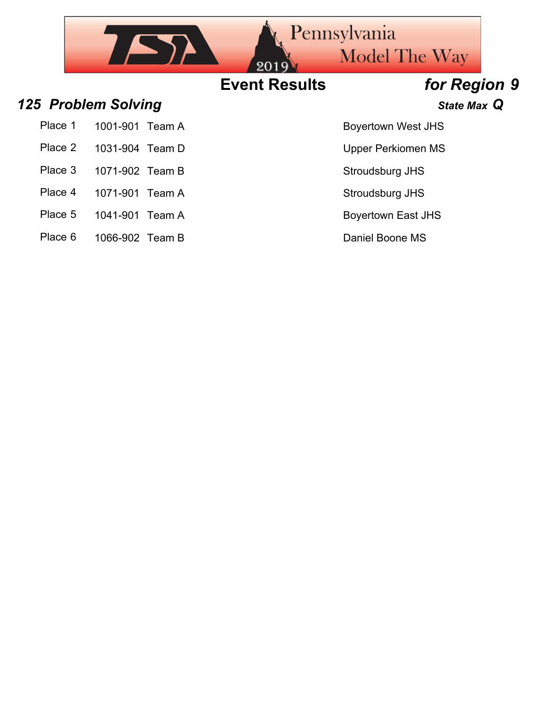

Place 6 1066-902 Team B Daniel Boone MS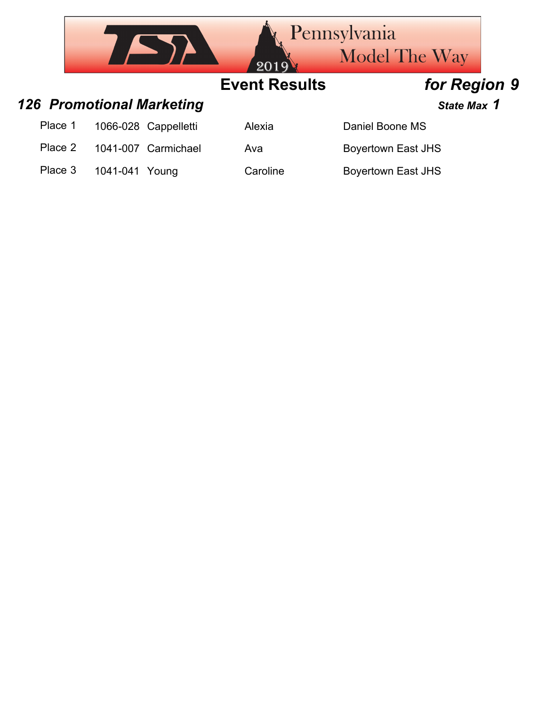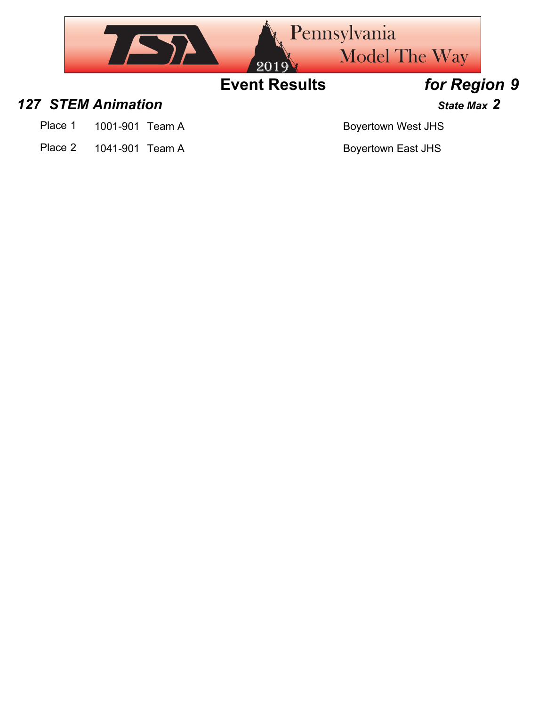

### *127 STEM Animation State Max 2*

- Place 1 1001-901 Team A Boyertown West JHS
- Place 2 1041-901 Team A Boyertown East JHS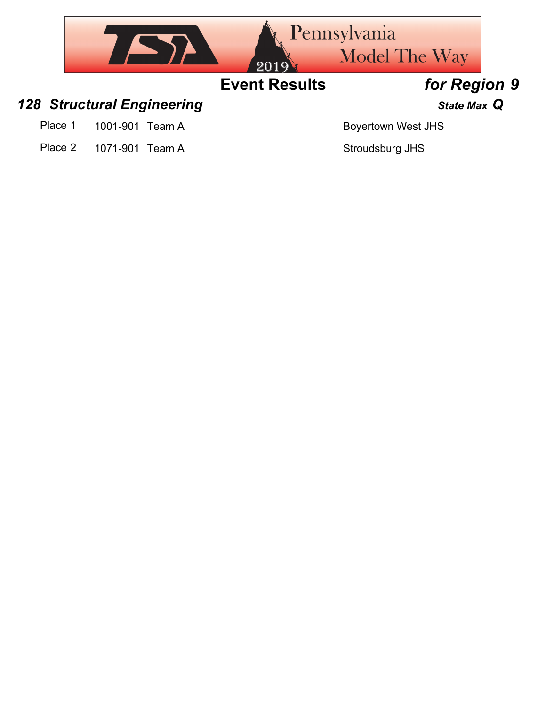

Place 1 1001-901 Team A Boyertown West JHS

Place 2 1071-901 Team A Stroudsburg JHS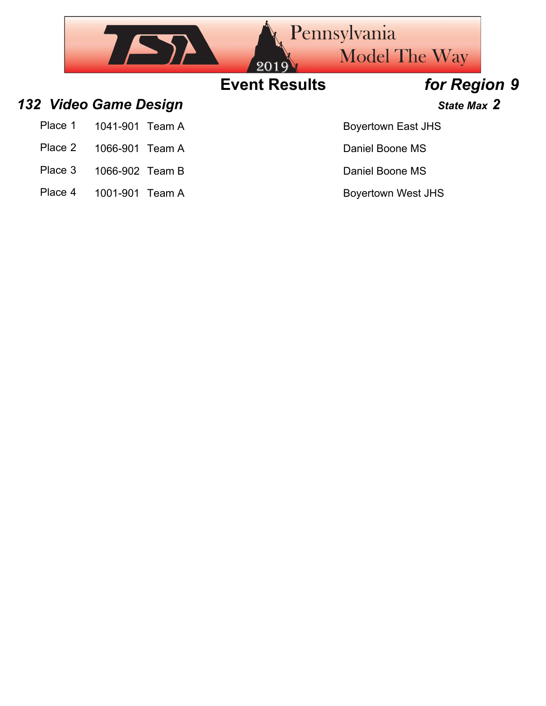

- Place 3 1066-902 Team B Daniel Boone MS
- Place 4 1001-901 Team A Boyertown West JHS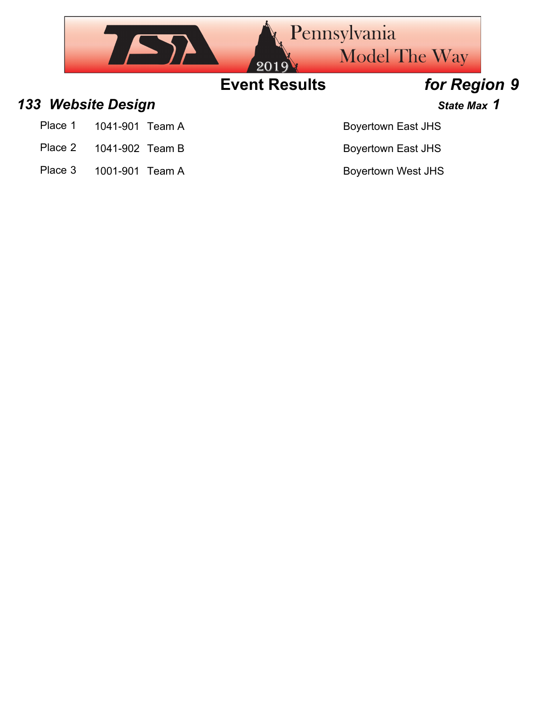

- 
- Place 2 1041-902 Team B Boyertown East JHS
- Place 3 1001-901 Team A Boyertown West JHS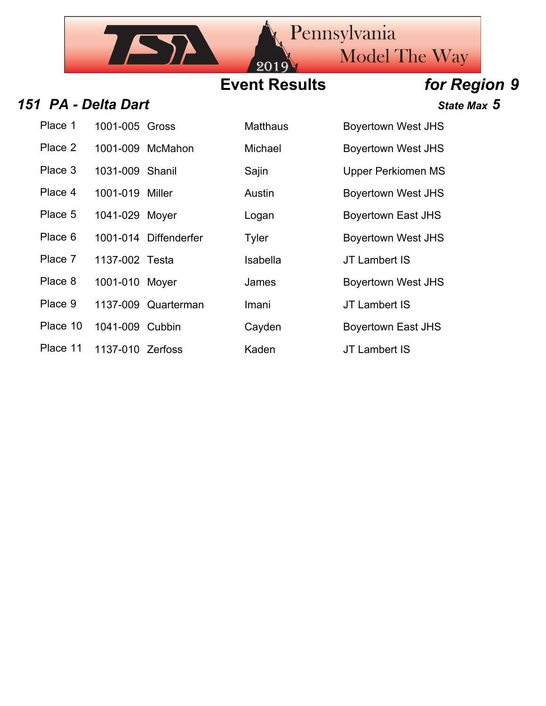## **Event Results** *for Region 9*

20

### **151 PA - Delta Dart State Max 5**

| Place 1  | 1001-005 Gross   |                       | Matthaus | Boyertown We         |
|----------|------------------|-----------------------|----------|----------------------|
| Place 2  |                  | 1001-009 McMahon      | Michael  | <b>Boyertown We</b>  |
| Place 3  | 1031-009 Shanil  |                       | Sajin    | <b>Upper Perkion</b> |
| Place 4  | 1001-019 Miller  |                       | Austin   | <b>Boyertown We</b>  |
| Place 5  | 1041-029 Moyer   |                       | Logan    | <b>Boyertown Eas</b> |
| Place 6  |                  | 1001-014 Diffenderfer | Tyler    | <b>Boyertown We</b>  |
| Place 7  | 1137-002 Testa   |                       | Isabella | JT Lambert IS        |
| Place 8  | 1001-010 Moyer   |                       | James    | <b>Boyertown We</b>  |
| Place 9  |                  | 1137-009 Quarterman   | Imani    | JT Lambert IS        |
| Place 10 | 1041-009 Cubbin  |                       | Cayden   | <b>Boyertown Eas</b> |
| Place 11 | 1137-010 Zerfoss |                       | Kaden    | JT Lambert IS        |

7 S)

| Place 1  | 1001-005 Gross                                                                       |                       | <b>Matthaus</b>                                                         | <b>Boyertown West JHS</b> |
|----------|--------------------------------------------------------------------------------------|-----------------------|-------------------------------------------------------------------------|---------------------------|
| Place 2  |                                                                                      | 1001-009 McMahon      | Michael                                                                 | <b>Boyertown West JHS</b> |
| Place 3  | 1031-009 Shanil                                                                      |                       | Sajin                                                                   | <b>Upper Perkiomen MS</b> |
| Place 4  | 1001-019 Miller                                                                      |                       | Austin                                                                  | <b>Boyertown West JHS</b> |
| Place 5  | 1041-029 Moyer                                                                       |                       | Logan                                                                   | Boyertown East JHS        |
| Place 6  |                                                                                      | 1001-014 Diffenderfer | Tyler                                                                   | <b>Boyertown West JHS</b> |
| Place 7  | 1137-002 Testa                                                                       |                       | Isabella                                                                | JT Lambert IS             |
| Place 8  | 1001-010 Moyer                                                                       |                       | James                                                                   | <b>Boyertown West JHS</b> |
| Place 9  |                                                                                      | 1137-009 Quarterman   | Imani                                                                   | <b>JT Lambert IS</b>      |
| Place 10 | 1041-009 Cubbin                                                                      |                       | Cayden                                                                  | <b>Boyertown East JHS</b> |
|          | $D_{\text{max}}$ 11 $\rightarrow$ 1107 010 $\rightarrow$ $\rightarrow$ $\rightarrow$ |                       | $\mathbf{1} \mathbf{Z} = \mathbf{Z} \mathbf{Z} + \mathbf{Z} \mathbf{Z}$ | $1T + 246$                |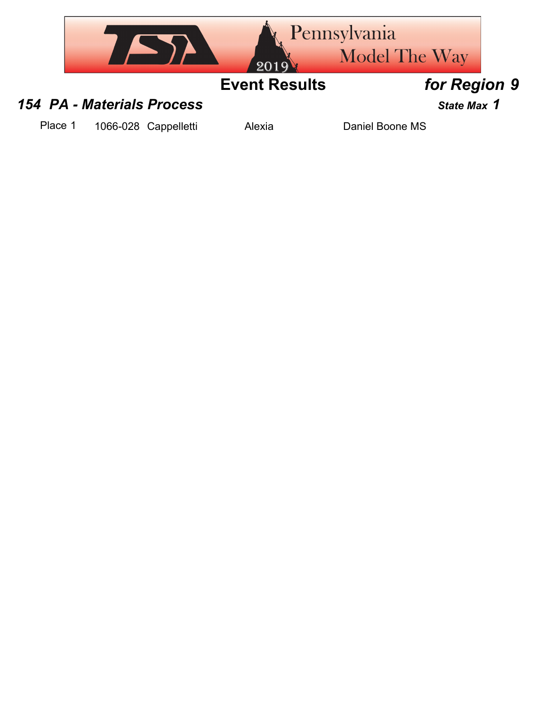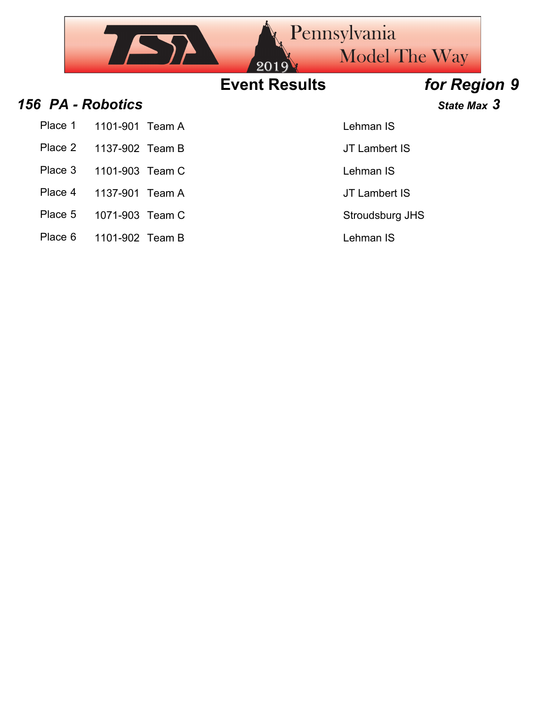|                   |                 | 2019                 | <b>Pennsylvania</b><br><b>Model The Way</b> |              |
|-------------------|-----------------|----------------------|---------------------------------------------|--------------|
|                   |                 | <b>Event Results</b> |                                             | for Region 9 |
| 156 PA - Robotics |                 |                      |                                             | State Max 3  |
| Place 1           | 1101-901 Team A |                      | Lehman IS                                   |              |
| Place 2           | 1137-902 Team B |                      | JT Lambert IS                               |              |
| Place 3           | 1101-903 Team C |                      | Lehman IS                                   |              |
| Place 4           | 1137-901 Team A |                      | JT Lambert IS                               |              |
| Place 5           | 1071-903 Team C |                      | Stroudsburg JHS                             |              |

Place 6 1101-902 Team B Lehman IS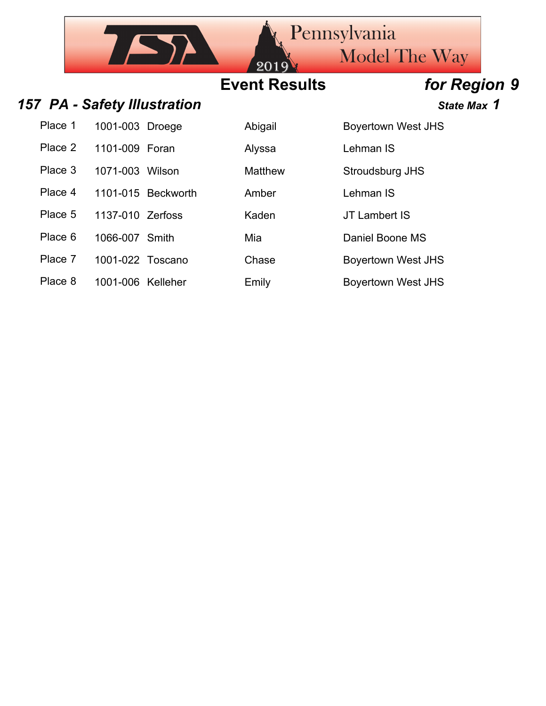## **Event Results** *for Region 9*

201

### 157 PA - Safety Illustration *State Max* 1

| Place 1 | 1001-003 Droege | Abigail | <b>Boyertown West JHS</b> |
|---------|-----------------|---------|---------------------------|
| Place 2 | 1101-009 Foran  | Alyssa  | Lehman IS                 |

 $752$ 

| vn Waet IHS |  |
|-------------|--|

Place 3 1071-003 Wilson Matthew Stroudsburg JHS

Place 4 1101-015 Beckworth Amber Lehman IS

Place 5 1137-010 Zerfoss Kaden JT Lambert IS

Place 6 1066-007 Smith Mia Mia Daniel Boone MS

Place 7 1001-022 Toscano Chase Boyertown West JHS

Place 8 1001-006 Kelleher Emily Emily Boyertown West JHS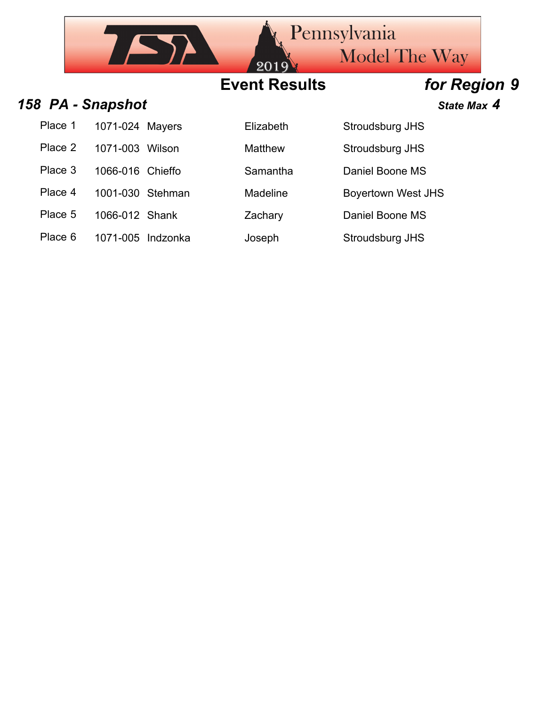## **Event Results** *for Region 9*

### *158 PA - Snapshot State Max 4*

| Place 1 | 1071-024 Mayers   | Elizabeth      | Stroudsburg JHS           |
|---------|-------------------|----------------|---------------------------|
| Place 2 | 1071-003 Wilson   | <b>Matthew</b> | Stroudsburg JHS           |
| Place 3 | 1066-016 Chieffo  | Samantha       | Daniel Boone MS           |
| Place 4 | 1001-030 Stehman  | Madeline       | <b>Boyertown West JHS</b> |
| Place 5 | 1066-012 Shank    | Zachary        | Daniel Boone MS           |
| Place 6 | 1071-005 Indzonka | Joseph         | Stroudsburg JHS           |

| Flizabeth |
|-----------|
| Matthew   |
| Samantha  |
| Madeline  |
| Zachary   |
|           |

| Stroudsburg JHS   |
|-------------------|
| Stroudsburg JHS   |
| Daniel Boone MS   |
| Boyertown West JF |
| Daniel Boone MS   |

005 Indzonka Joseph Stroudsburg JHS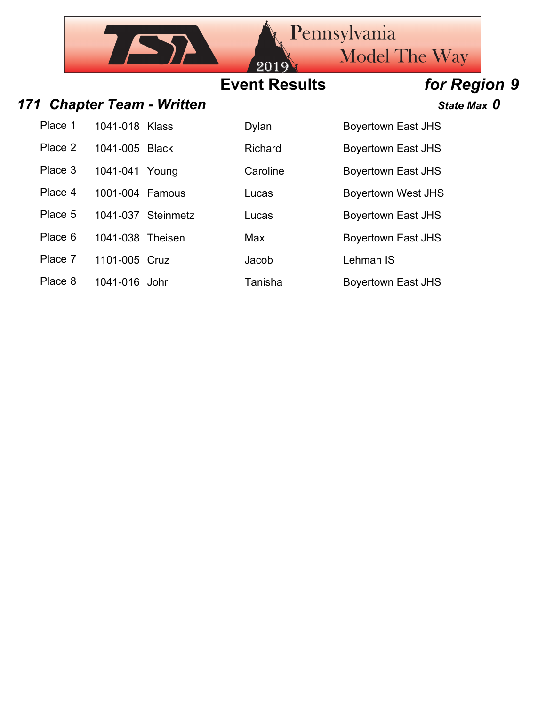### Pennsylvania  $752$ Model The Way 201 **Event Results** *for Region 9*

### *171 Chapter Team - Written State Max 0*

| Place 1 | 1041-018 Klass | <b>Dylan</b> | Boyertown East JHS        |
|---------|----------------|--------------|---------------------------|
| Place 2 | 1041-005 Black | Richard      | <b>Boyertown East JHS</b> |
| Place 3 | 1041-041 Young | Caroline     | Boyertown East JHS        |

Place 4 1001-004 Famous Lucas Lucas Boyertown West JHS

Place 5 1041-037 Steinmetz Lucas Boyertown East JHS

Place 6 1041-038 Theisen Max Boyertown East JHS

Place 7 1101-005 Cruz Jacob Lehman IS

Place 8 1041-016 Johri Tanisha Boyertown East JHS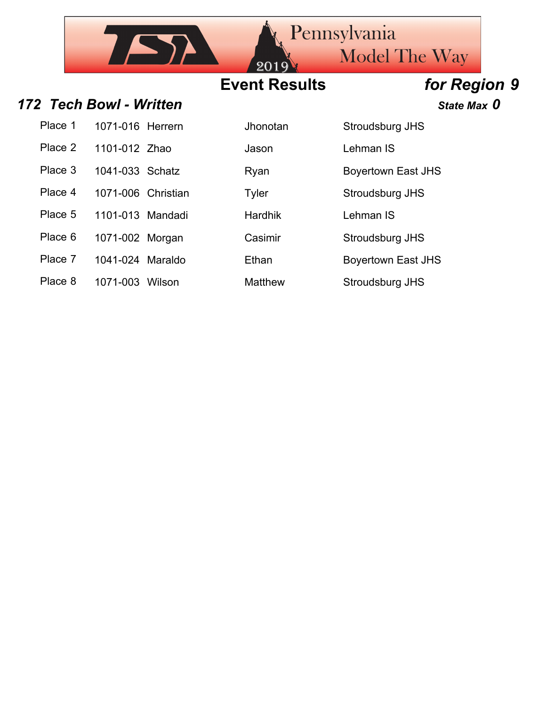## **Event Results** *for Region 9*

201

### *172 Tech Bowl - Written State Max 0*

 $757$ 

| Place 1 | 1071-016 Herrern   |  |
|---------|--------------------|--|
| Place 2 | 1101-012 Zhao      |  |
| Place 3 | 1041-033 Schatz    |  |
| Place 4 | 1071-006 Christian |  |
| Place 5 | 1101-013 Mandadi   |  |
| Place 6 | 1071-002 Morgan    |  |
| Place 7 | 1041-024 Maraldo   |  |
|         |                    |  |

Jhonotan Stroudsburg JHS

**Place 2 1101-1101-012 Value 2 1101-2 2 1201-2 2 1201-2 2 1201-2 2 1201-2 2 1201-2 2 1201-2 2 1201-2 2 1201-2 2 1201-2 2 1201-2 2 1201-2 2 1201-2 2 1201-2 2 1201-2 2 1201-2 2 1201-2 2 1201-2 2 1201-2 2 1201-2 2 1201-2 2 12** 

Pennsylvania

Ryan Boyertown East JHS

Model The Way

Tyler **Stroudsburg JHS** 

Hardhik Lehman IS

Casimir **Stroudsburg JHS** 

Ethan Boyertown East JHS

Place 8 1071-003 Wilson Matthew Stroudsburg JHS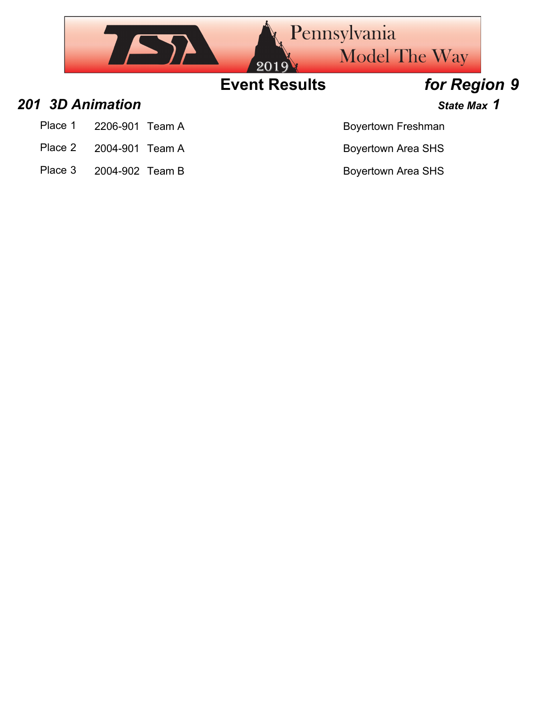

Place 1 2206-901 Team A Boyertown Freshman

- Place 2 2004-901 Team A Boyertown Area SHS
- Place 3 2004-902 Team B Boyertown Area SHS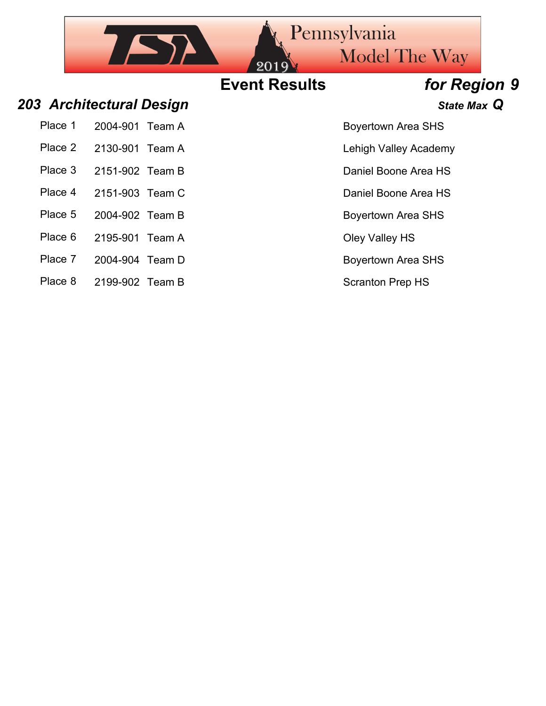## **Event Results** *for Region 9*

### *203 Architectural Design State Max Q*

| Place 1 2004-901 Team A |  |
|-------------------------|--|
| Place 2 2130-901 Team A |  |

 $752$ 

- 
- Place 4 2151-903 Team C Daniel Boone Area HS
- Place 5 2004-902 Team B Boyertown Area SHS
- Place 6 2195-901 Team A Cley Valley HS
- Place 7 2004-904 Team D Boyertown Area SHS
- Place 8 2199-902 Team B Scranton Prep HS

Boyertown Area SHS

Model The Way

Pennsylvania

- Lehigh Valley Academy
- Place 3 2151-902 Team B Daniel Boone Area HS
	-
	-
	-
	-
	-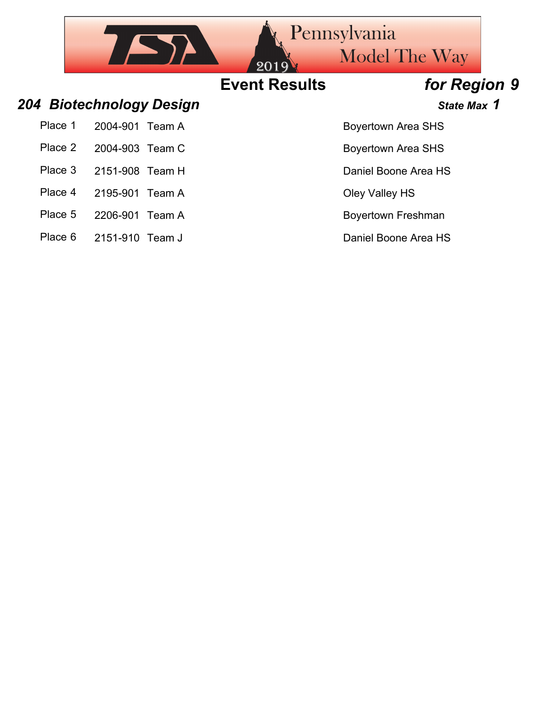|         |                 |                          | 2019                 | <b>Pennsylvania</b><br><b>Model The Way</b> |  |
|---------|-----------------|--------------------------|----------------------|---------------------------------------------|--|
|         |                 |                          | <b>Event Results</b> | for Region 9                                |  |
|         |                 | 204 Biotechnology Design |                      | State Max 1                                 |  |
| Place 1 | 2004-901        | Team A                   |                      | <b>Boyertown Area SHS</b>                   |  |
| Place 2 | 2004-903 Team C |                          |                      | <b>Boyertown Area SHS</b>                   |  |
| Place 3 | 2151-908 Team H |                          |                      | Daniel Boone Area HS                        |  |
| Place 4 | 2195-901        | Team A                   |                      | Oley Valley HS                              |  |
| Place 5 | 2206-901        | Team A                   |                      | <b>Boyertown Freshman</b>                   |  |
|         |                 |                          |                      |                                             |  |

Place 6 2151-910 Team J Daniel Boone Area HS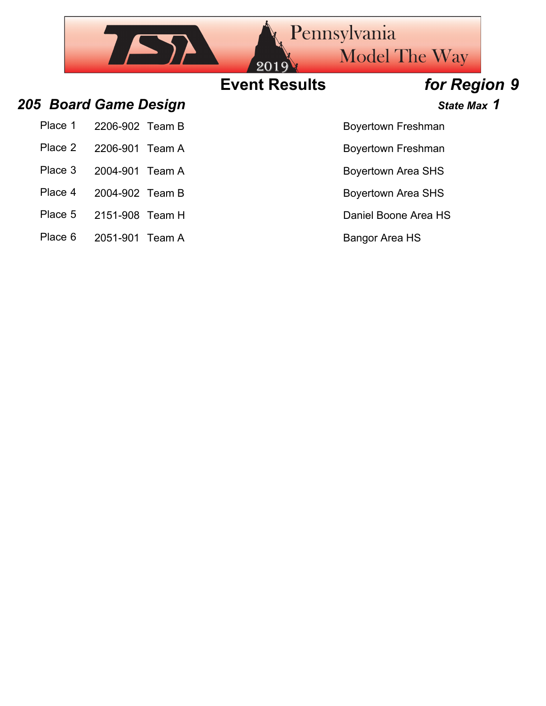## Pennsylvania  $757$ Model The Way **Event Results** *for Region 9 205 Board Game Design State Max 1* Place 1 2206-902 Team B Boyertown Freshman Place 2 2206-901 Team A Boyertown Freshman Place 3 2004-901 Team A Boyertown Area SHS Place 4 2004-902 Team B Boyertown Area SHS

- Place 5 2151-908 Team H Daniel Boone Area HS
- Place 6 2051-901 Team A Bangor Area HS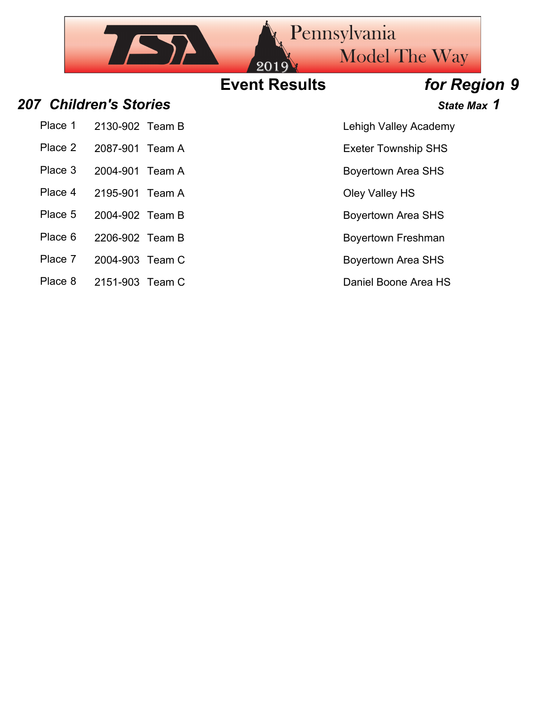### Pennsylvania  $752$ Model The Way **Event Results** *for Region 9 207 Children's Stories State Max 1*

- Place 1 2130-902 Team B Lehigh Valley Academy
- Place 2 2087-901 Team A Exeter Township SHS
- 
- 
- 
- Place 5 2004-902 Team B Boyertown Area SHS
- Place 6 2206-902 Team B Boyertown Freshman
- Place 7 2004-903 Team C Boyertown Area SHS
- Place 8 2151-903 Team C Daniel Boone Area HS

- 
- Place 3 2004-901 Team A Boyertown Area SHS
- Place 4 2195-901 Team A Cley Valley HS
	-
	-
	-
	-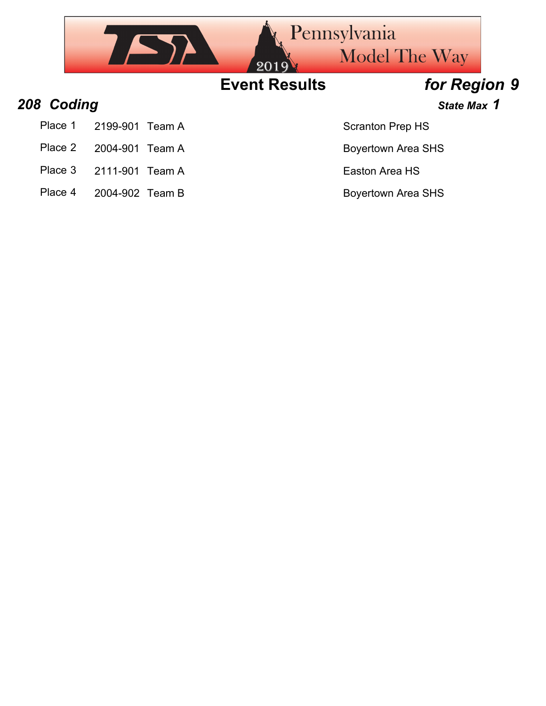|            |                    | 2019                 | Pennsylvania<br><b>Model The Way</b> |  |
|------------|--------------------|----------------------|--------------------------------------|--|
|            |                    | <b>Event Results</b> | for Region 9                         |  |
| 208 Coding |                    |                      | State Max 1                          |  |
| Place 1    | 2199-901<br>Team A |                      | <b>Scranton Prep HS</b>              |  |
| Place 2    | 2004-901<br>Team A |                      | <b>Boyertown Area SHS</b>            |  |

- 
- Place 3 2111-901 Team A Easton Area HS
- Place 4 2004-902 Team B Boyertown Area SHS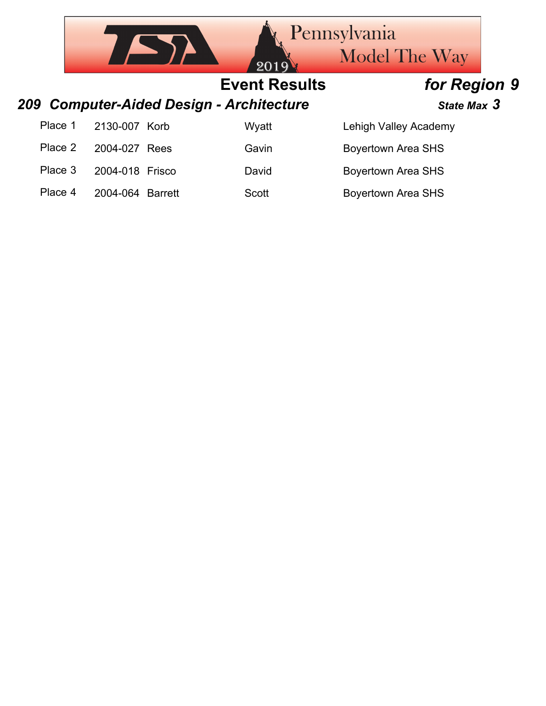|         |                  | 2019                                     | Pennsylvania<br><b>Model The Way</b> |  |
|---------|------------------|------------------------------------------|--------------------------------------|--|
|         |                  | <b>Event Results</b>                     | for Region 9                         |  |
|         |                  | 209 Computer-Aided Design - Architecture | State Max 3                          |  |
| Place 1 | 2130-007 Korb    | Wyatt                                    | Lehigh Valley Academy                |  |
| Place 2 | 2004-027 Rees    | Gavin                                    | <b>Boyertown Area SHS</b>            |  |
| Place 3 | 2004-018 Frisco  | David                                    | <b>Boyertown Area SHS</b>            |  |
| Place 4 | 2004-064 Barrett | <b>Scott</b>                             | <b>Boyertown Area SHS</b>            |  |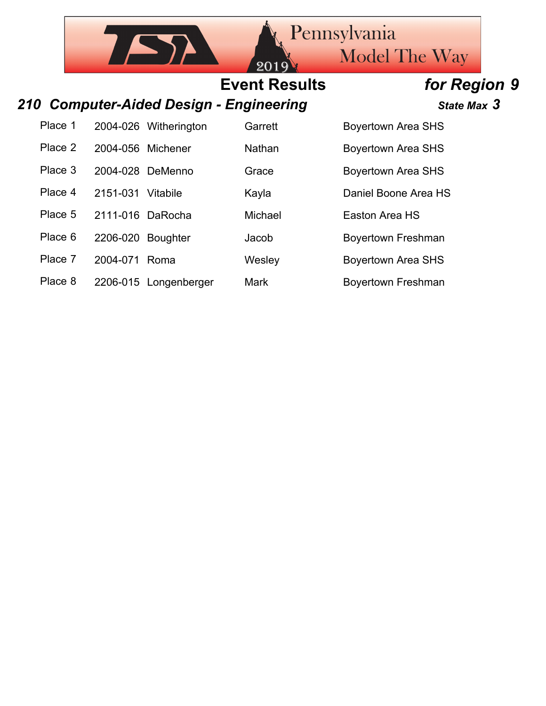**Model The Way** 

Pennsylvania

# **Event Results** *for Region 9*

 $20$ 

### *210 Computer-Aided Design - Engineering State Max 3*

 $\sqrt{2}$ 

Place 8 2206-015 Longenberger Mark Boyertown Freshman

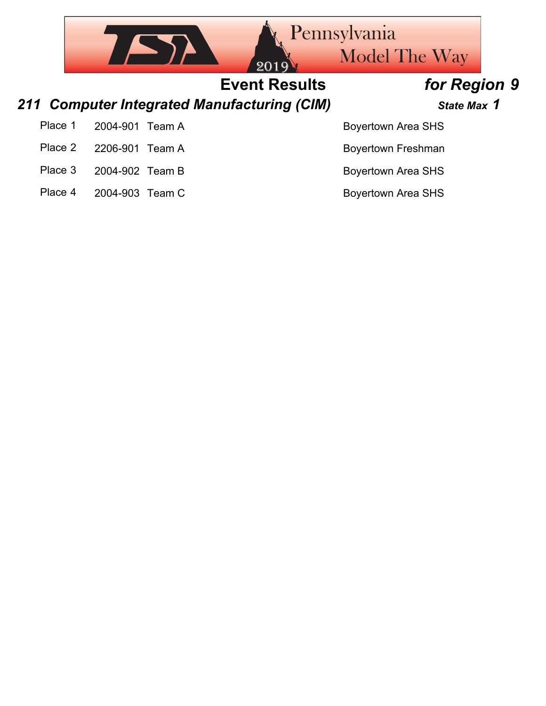|         |                 |        | 2019                                        | Pennsylvania<br><b>Model The Way</b> |  |
|---------|-----------------|--------|---------------------------------------------|--------------------------------------|--|
|         |                 |        | <b>Event Results</b>                        | for Region 9                         |  |
|         |                 |        | 211 Computer Integrated Manufacturing (CIM) | State Max 1                          |  |
| Place 1 | 2004-901        | Team A |                                             | <b>Boyertown Area SHS</b>            |  |
| Place 2 | 2206-901        | Team A |                                             | <b>Boyertown Freshman</b>            |  |
| Place 3 | 2004-902 Team B |        |                                             | <b>Boyertown Area SHS</b>            |  |
| Place 4 | 2004-903 Team C |        |                                             | <b>Boyertown Area SHS</b>            |  |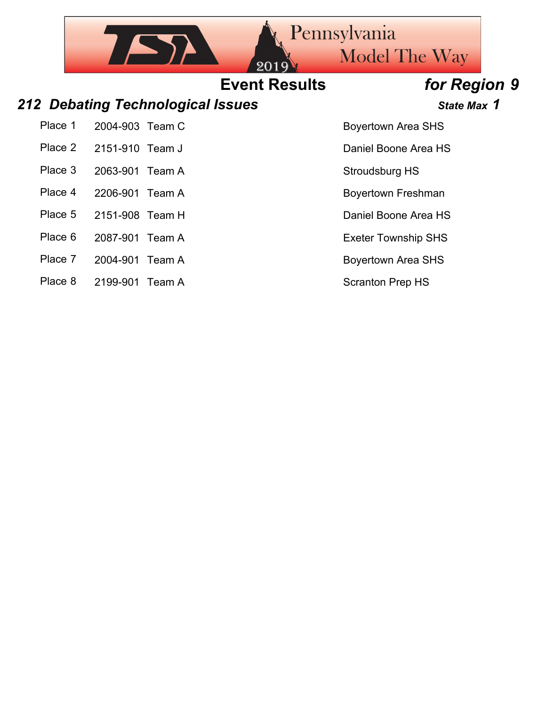## Pennsylvania  $\sqrt{2}$ Model The Way **Event Results** *for Region 9 212 Debating Technological Issues State Max 1*

- Place 1 2004-903 Team C Boyertown Area SHS
- 
- Place 3 2063-901 Team A Stroudsburg HS
- Place 4 2206-901 Team A Boyertown Freshman
- Place 5 2151-908 Team H Daniel Boone Area HS
- Place 6 2087-901 Team A Exeter Township SHS
- Place 7 2004-901 Team A Boyertown Area SHS
- Place 8 2199-901 Team A Scranton Prep HS

Place 2 2151-910 Team J Daniel Boone Area HS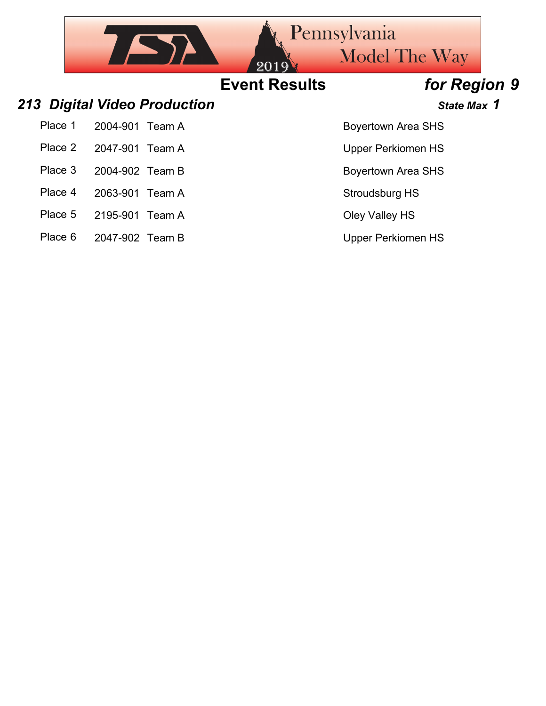|         |                              | 2019                 | Pennsylvania<br><b>Model The Way</b> |
|---------|------------------------------|----------------------|--------------------------------------|
|         |                              | <b>Event Results</b> | for Region 9                         |
|         | 213 Digital Video Production |                      | State Max 1                          |
| Place 1 | 2004-901<br>Team A           |                      | <b>Boyertown Area SHS</b>            |
| Place 2 | 2047-901<br>Team A           |                      | <b>Upper Perkiomen HS</b>            |
| Place 3 | 2004-902 Team B              |                      | <b>Boyertown Area SHS</b>            |
| Place 4 | 2063-901<br>Team A           |                      | Stroudsburg HS                       |
| Place 5 | 2195-901<br>Team A           |                      | Oley Valley HS                       |
| Place 6 | 2047-902 Team B              |                      | <b>Upper Perkiomen HS</b>            |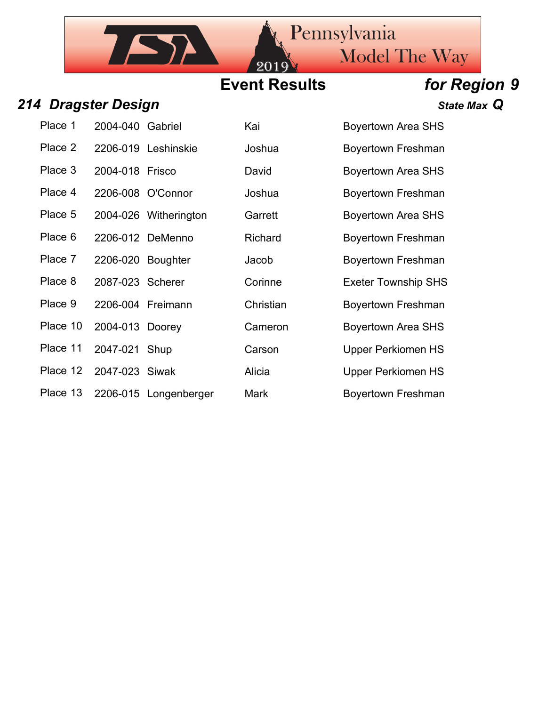## **Event Results** *for Region 9*

20

### *214 Dragster Design State Max Q*

| Place 1  | 2004-040 Gabriel  |                       |
|----------|-------------------|-----------------------|
| Place 2  |                   | 2206-019 Leshinskie   |
| Place 3  | 2004-018 Frisco   |                       |
| Place 4  |                   | 2206-008 O'Connor     |
| Place 5  |                   | 2004-026 Witheringtor |
| Place 6  |                   | 2206-012 DeMenno      |
| Place 7  | 2206-020 Boughter |                       |
| Place 8  | 2087-023 Scherer  |                       |
| Place 9  | 2206-004 Freimann |                       |
| Place 10 | 2004-013 Doorey   |                       |
| Place 11 | 2047-021 Shup     |                       |
| Place 12 | 2047-023 Siwak    |                       |
| Place 13 |                   | 2206-015 Longenberg   |

7 ST

| Place 1  | 2004-040 Gabriel  |                       | Kai            | <b>Boyertown Area SHS</b>  |
|----------|-------------------|-----------------------|----------------|----------------------------|
| Place 2  |                   | 2206-019 Leshinskie   | Joshua         | Boyertown Freshman         |
| Place 3  | 2004-018 Frisco   |                       | David          | <b>Boyertown Area SHS</b>  |
| Place 4  |                   | 2206-008 O'Connor     | Joshua         | <b>Boyertown Freshman</b>  |
| Place 5  |                   | 2004-026 Witherington | Garrett        | <b>Boyertown Area SHS</b>  |
| Place 6  |                   | 2206-012 DeMenno      | <b>Richard</b> | <b>Boyertown Freshman</b>  |
| Place 7  | 2206-020 Boughter |                       | Jacob          | <b>Boyertown Freshman</b>  |
| Place 8  | 2087-023 Scherer  |                       | Corinne        | <b>Exeter Township SHS</b> |
| Place 9  |                   | 2206-004 Freimann     | Christian      | <b>Boyertown Freshman</b>  |
| Place 10 | 2004-013 Doorey   |                       | Cameron        | <b>Boyertown Area SHS</b>  |
| Place 11 | 2047-021 Shup     |                       | Carson         | <b>Upper Perkiomen HS</b>  |
| Place 12 | 2047-023 Siwak    |                       | Alicia         | <b>Upper Perkiomen HS</b>  |
| Place 13 |                   | 2206-015 Longenberger | Mark           | <b>Boyertown Freshman</b>  |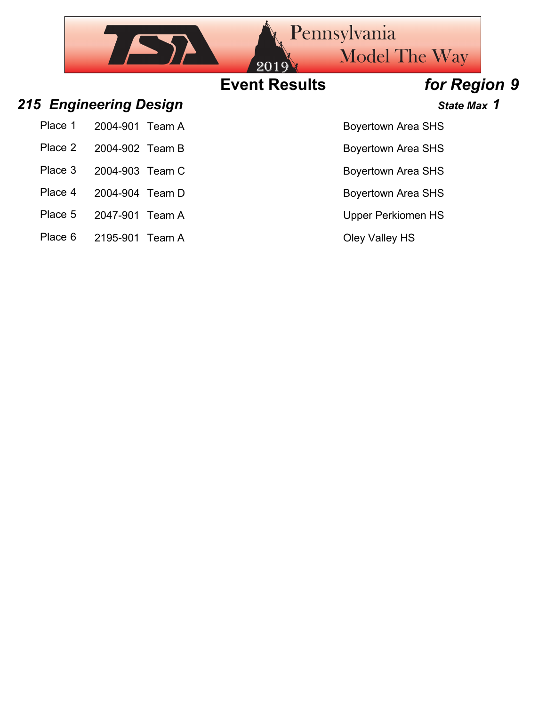## Pennsylvania  $752$ Model The Way **Event Results** *for Region 9 215 Engineering Design State Max 1* Place 1 2004-901 Team A Boyertown Area SHS Place 2 2004-902 Team B Boyertown Area SHS Place 3 2004-903 Team C Boyertown Area SHS Place 4 2004-904 Team D Boyertown Area SHS

- Place 5 2047-901 Team A Upper Perkiomen HS
- Place 6 2195-901 Team A Cley Valley HS
-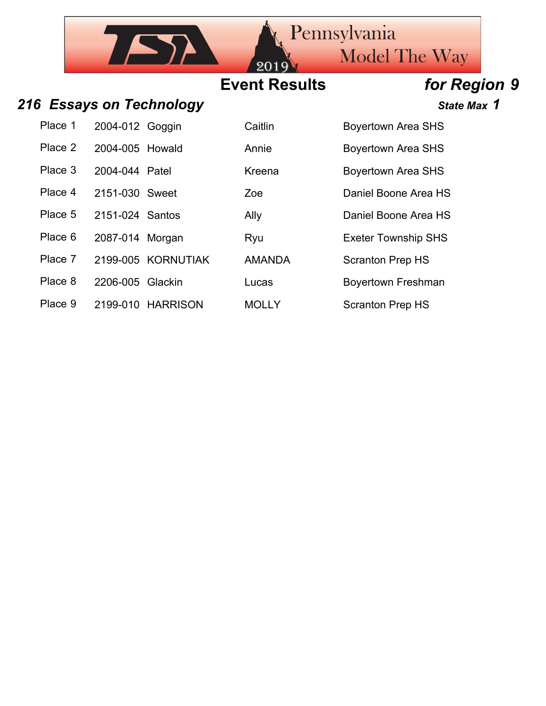## **Event Results** *for Region 9*

20

### 216 **Essays on Technology State Max 1** State Max 1

| Place 1 2004-012 Goggin | Cε |
|-------------------------|----|
| Place 2 2004-005 Howald | Ar |
| Place 3 2004-044 Patel  | Κr |

 $757$ 

Place 9 2199-010 HARRISON MOLLY Scranton Prep HS

| Place 1 | 2004-012 Goggin  |                    | Caitlin       | <b>Boyertown Area SHS</b>  |
|---------|------------------|--------------------|---------------|----------------------------|
| Place 2 | 2004-005 Howald  |                    | Annie         | <b>Boyertown Area SHS</b>  |
| Place 3 | 2004-044 Patel   |                    | Kreena        | <b>Boyertown Area SHS</b>  |
| Place 4 | 2151-030 Sweet   |                    | Zoe           | Daniel Boone Area HS       |
| Place 5 | 2151-024 Santos  |                    | Ally          | Daniel Boone Area HS       |
| Place 6 | 2087-014 Morgan  |                    | Ryu           | <b>Exeter Township SHS</b> |
| Place 7 |                  | 2199-005 KORNUTIAK | <b>AMANDA</b> | <b>Scranton Prep HS</b>    |
| Place 8 | 2206-005 Glackin |                    | Lucas         | <b>Boyertown Freshman</b>  |
|         |                  |                    |               |                            |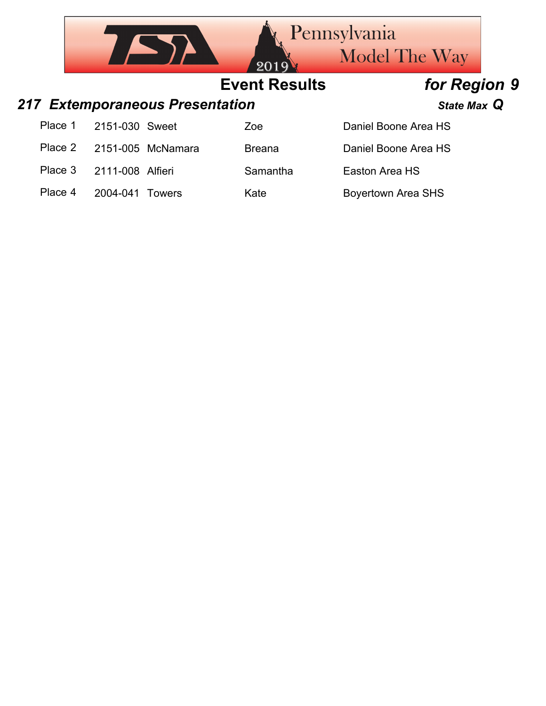|         |                                 |                   | 2019                 | <b>Pennsylvania</b><br><b>Model The Way</b> |  |
|---------|---------------------------------|-------------------|----------------------|---------------------------------------------|--|
|         |                                 |                   | <b>Event Results</b> | for Region 9                                |  |
|         | 217 Extemporaneous Presentation |                   |                      | State Max Q                                 |  |
| Place 1 | 2151-030 Sweet                  |                   | Zoe                  | Daniel Boone Area HS                        |  |
| Place 2 |                                 | 2151-005 McNamara | <b>Breana</b>        | Daniel Boone Area HS                        |  |
| Place 3 | 2111-008 Alfieri                |                   | Samantha             | Easton Area HS                              |  |
| Place 4 | 2004-041                        | Towers            | Kate                 | <b>Boyertown Area SHS</b>                   |  |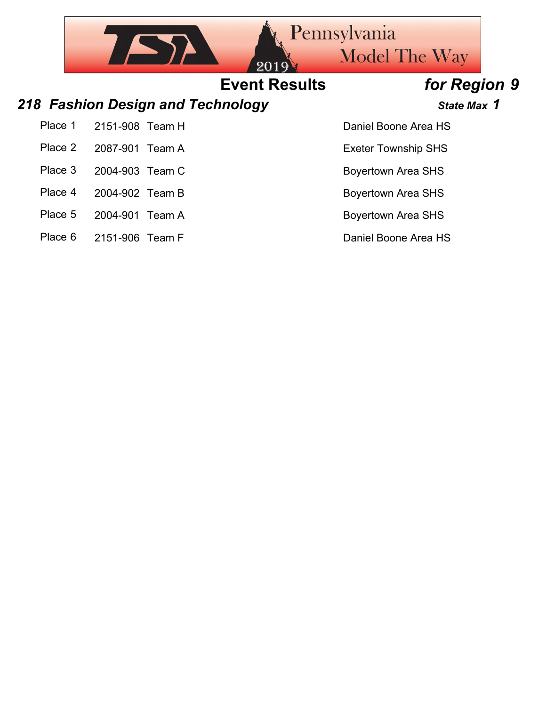|         |                                   |                      | Pennsylvania               |  |
|---------|-----------------------------------|----------------------|----------------------------|--|
|         |                                   | 2019                 | <b>Model The Way</b>       |  |
|         |                                   | <b>Event Results</b> | for Region 9               |  |
|         | 218 Fashion Design and Technology |                      | State Max 1                |  |
| Place 1 | 2151-908 Team H                   |                      | Daniel Boone Area HS       |  |
| Place 2 | 2087-901<br>Team A                |                      | <b>Exeter Township SHS</b> |  |
| Place 3 | 2004-903 Team C                   |                      | <b>Boyertown Area SHS</b>  |  |
| Place 4 | 2004-902 Team B                   |                      | <b>Boyertown Area SHS</b>  |  |
| Place 5 | 2004-901<br>Team A                |                      | <b>Boyertown Area SHS</b>  |  |

- 
- Place 6 2151-906 Team F Daniel Boone Area HS
- -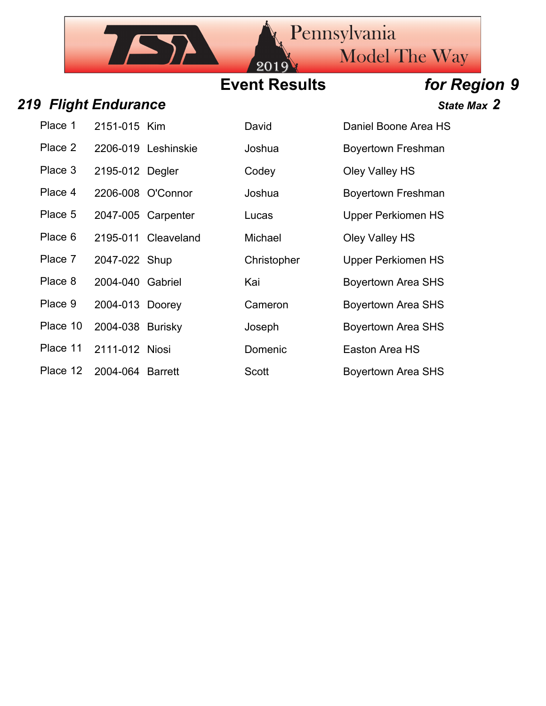## **Event Results** *for Region 9*

20

### *219 Flight Endurance State Max 2*

IST

| Place 1              | 2151-015 Kim            |  |
|----------------------|-------------------------|--|
| Place 2              | 2206-019 Leshinski      |  |
| Place 3              | 2195-012 Degler         |  |
| Place 4              | 2206-008 O'Connor       |  |
| Place 5              | 2047-005 Carpenter      |  |
| Place 6              | 2195-011 Cleavelan      |  |
| Place 7              | 2047-022 Shup           |  |
| Place 8              | 2004-040 Gabriel        |  |
| Place 9              | 2004-013 Doorey         |  |
| Place 10             | 2004-038 Burisky        |  |
|                      | Place 11 2111-012 Niosi |  |
| DI <sub>nne</sub> 40 | 0.0010010               |  |

| Place 1  | 2151-015 Kim     |                     | David        | Daniel Boone Area HS      |
|----------|------------------|---------------------|--------------|---------------------------|
| Place 2  |                  | 2206-019 Leshinskie | Joshua       | <b>Boyertown Freshman</b> |
| Place 3  | 2195-012 Degler  |                     | Codey        | Oley Valley HS            |
| Place 4  |                  | 2206-008 O'Connor   | Joshua       | <b>Boyertown Freshman</b> |
| Place 5  |                  | 2047-005 Carpenter  | Lucas        | <b>Upper Perkiomen HS</b> |
| Place 6  |                  | 2195-011 Cleaveland | Michael      | Oley Valley HS            |
| Place 7  | 2047-022 Shup    |                     | Christopher  | <b>Upper Perkiomen HS</b> |
| Place 8  | 2004-040 Gabriel |                     | Kai          | <b>Boyertown Area SHS</b> |
| Place 9  | 2004-013 Doorey  |                     | Cameron      | <b>Boyertown Area SHS</b> |
| Place 10 | 2004-038 Burisky |                     | Joseph       | <b>Boyertown Area SHS</b> |
| Place 11 | 2111-012 Niosi   |                     | Domenic      | Easton Area HS            |
| Place 12 | 2004-064 Barrett |                     | <b>Scott</b> | <b>Boyertown Area SHS</b> |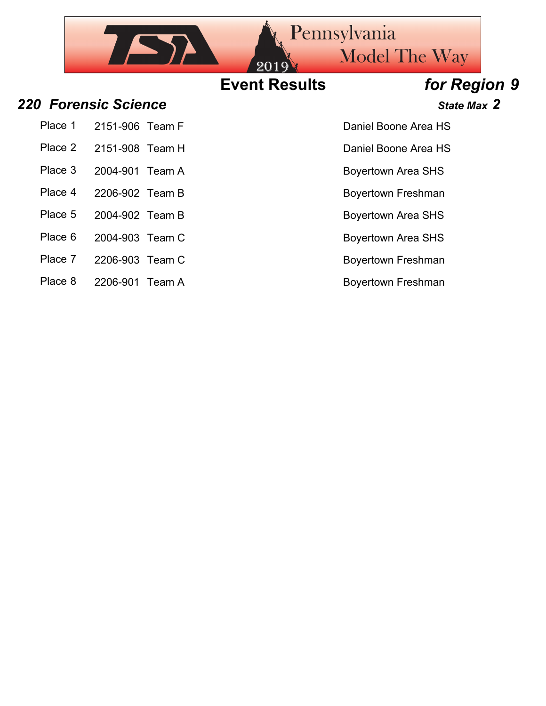## Pennsylvania  $752$ Model The Way **Event Results** *for Region 9 220 Forensic Science State Max 2* Place 1 2151-906 Team F New York Channel Boone Area HS Place 2 2151-908 Team H Daniel Boone Area HS

Place 3 2004-901 Team A Boyertown Area SHS

- 
- Place 8 2206-901 Team A Boyertown Freshman

### Place 4 2206-902 Team B Boyertown Freshman

Place 5 2004-902 Team B Boyertown Area SHS

Place 6 2004-903 Team C Boyertown Area SHS

Place 7 2206-903 Team C Boyertown Freshman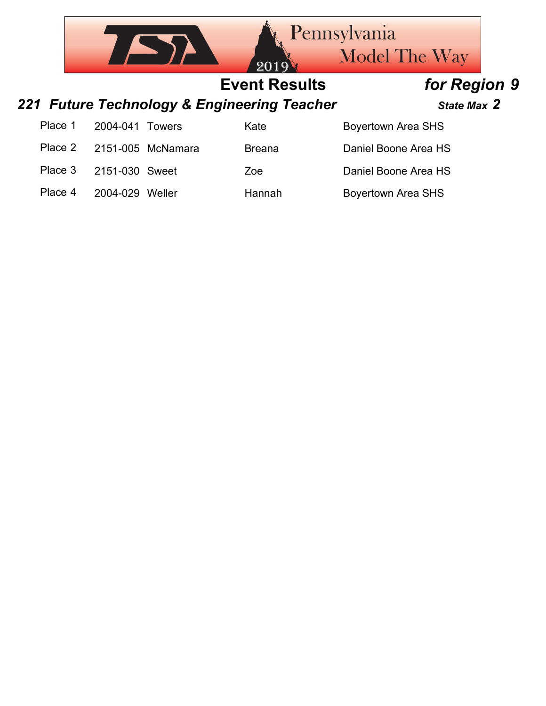|         |                |                   | <b>Rennsylvania</b><br>2019'                | <b>Model The Way</b>      |  |
|---------|----------------|-------------------|---------------------------------------------|---------------------------|--|
|         |                |                   | <b>Event Results</b>                        | for Region 9              |  |
|         |                |                   | 221 Future Technology & Engineering Teacher | State Max 2               |  |
| Place 1 | 2004-041       | <b>Towers</b>     | Kate                                        | <b>Boyertown Area SHS</b> |  |
| Place 2 |                | 2151-005 McNamara | <b>Breana</b>                               | Daniel Boone Area HS      |  |
| Place 3 | 2151-030 Sweet |                   | Zoe                                         | Daniel Boone Area HS      |  |
| Place 4 | 2004-029       | Weller            | Hannah                                      | <b>Boyertown Area SHS</b> |  |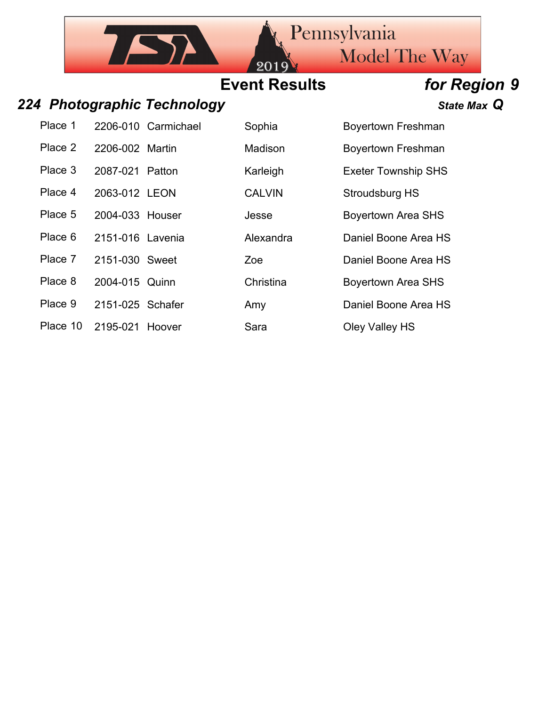## **Event Results** *for Region 9*

 $20$ 

### *224 Photographic Technology State Max Q*

**TASY** 

| Place T |                  | 2206-010 Carmichael |
|---------|------------------|---------------------|
| Place 2 | 2206-002 Martin  |                     |
| Place 3 | 2087-021 Patton  |                     |
| Place 4 | 2063-012 LEON    |                     |
| Place 5 | 2004-033 Houser  |                     |
| Place 6 | 2151-016 Lavenia |                     |
| Place 7 | 2151-030 Sweet   |                     |
| Place 8 | 2004-015 Quinn   |                     |
| Place 9 | 2151-025 Schafer |                     |
|         |                  |                     |

| Place 1  |                  | 2206-010 Carmichael | Sophia        | <b>Boyertown Freshman</b>  |
|----------|------------------|---------------------|---------------|----------------------------|
| Place 2  | 2206-002 Martin  |                     | Madison       | <b>Boyertown Freshman</b>  |
| Place 3  | 2087-021 Patton  |                     | Karleigh      | <b>Exeter Township SHS</b> |
| Place 4  | 2063-012 LEON    |                     | <b>CALVIN</b> | <b>Stroudsburg HS</b>      |
| Place 5  | 2004-033 Houser  |                     | Jesse         | <b>Boyertown Area SHS</b>  |
| Place 6  | 2151-016 Lavenia |                     | Alexandra     | Daniel Boone Area HS       |
| Place 7  | 2151-030 Sweet   |                     | Zoe           | Daniel Boone Area HS       |
| Place 8  | 2004-015 Quinn   |                     | Christina     | <b>Boyertown Area SHS</b>  |
| Place 9  | 2151-025 Schafer |                     | Amy           | Daniel Boone Area HS       |
| Place 10 | 2195-021 Hoover  |                     | Sara          | Oley Valley HS             |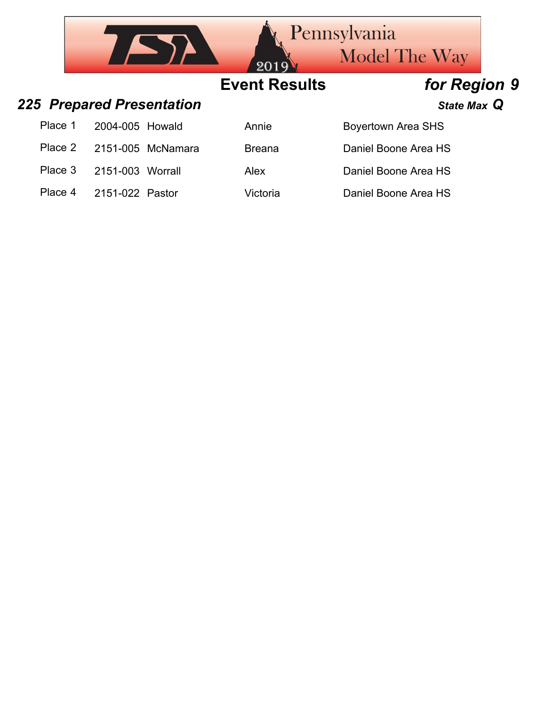|         | <b>Rennsylvania</b><br><b>Model The Way</b><br>2019 |                   |                      |                           |  |
|---------|-----------------------------------------------------|-------------------|----------------------|---------------------------|--|
|         |                                                     |                   | <b>Event Results</b> | for Region 9              |  |
|         | <b>225 Prepared Presentation</b>                    |                   |                      | State Max Q               |  |
| Place 1 | 2004-005 Howald                                     |                   | Annie                | <b>Boyertown Area SHS</b> |  |
| Place 2 |                                                     | 2151-005 McNamara | <b>Breana</b>        | Daniel Boone Area HS      |  |
| Place 3 | 2151-003 Worrall                                    |                   | Alex                 | Daniel Boone Area HS      |  |
| Place 4 | 2151-022 Pastor                                     |                   | Victoria             | Daniel Boone Area HS      |  |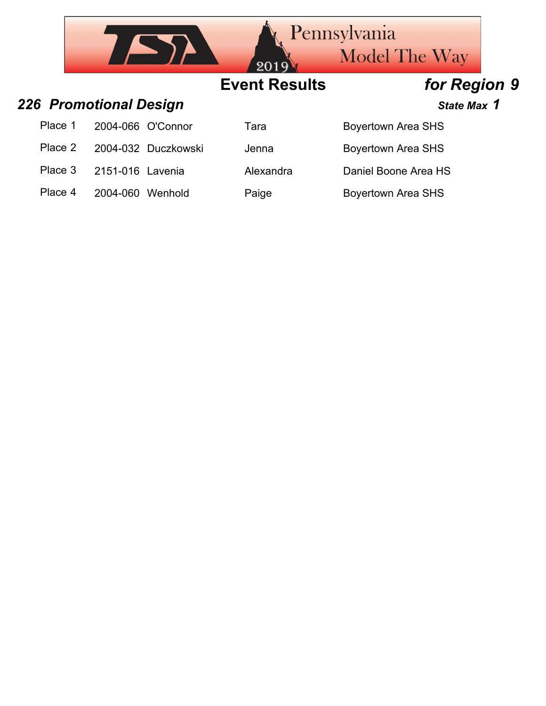|         |                        |                     | 2019                 | <b>Pennsylvania</b><br><b>Model The Way</b> |  |
|---------|------------------------|---------------------|----------------------|---------------------------------------------|--|
|         |                        |                     | <b>Event Results</b> | for Region 9                                |  |
|         | 226 Promotional Design |                     |                      | State Max 1                                 |  |
| Place 1 |                        | 2004-066 O'Connor   | Tara                 | <b>Boyertown Area SHS</b>                   |  |
| Place 2 |                        | 2004-032 Duczkowski | Jenna                | <b>Boyertown Area SHS</b>                   |  |
| Place 3 | 2151-016 Lavenia       |                     | Alexandra            | Daniel Boone Area HS                        |  |
| Place 4 | 2004-060               | Wenhold             | Paige                | <b>Boyertown Area SHS</b>                   |  |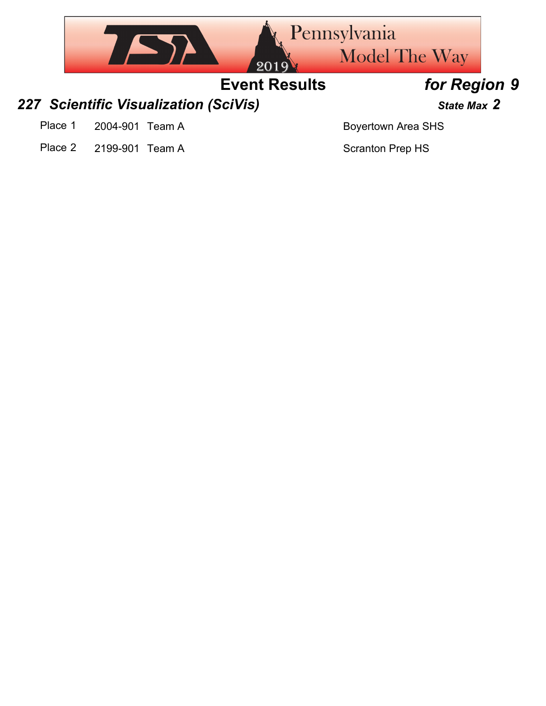

Place 2 2199-901 Team A Scranton Prep HS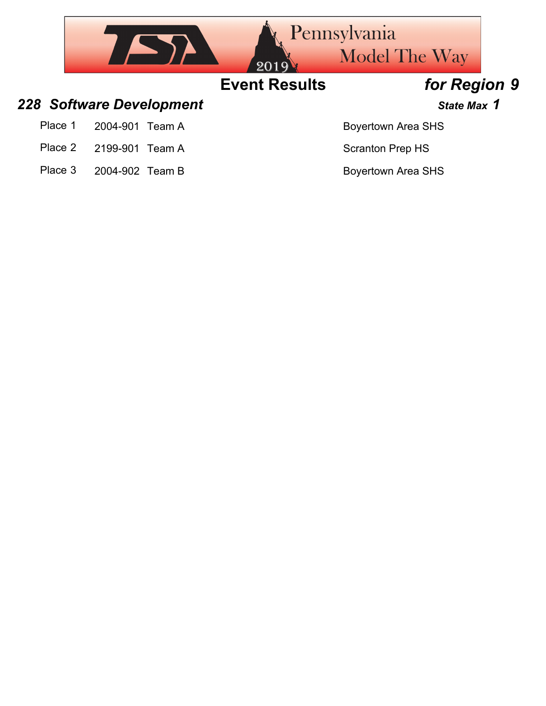

Place 3 2004-902 Team B Boyertown Area SHS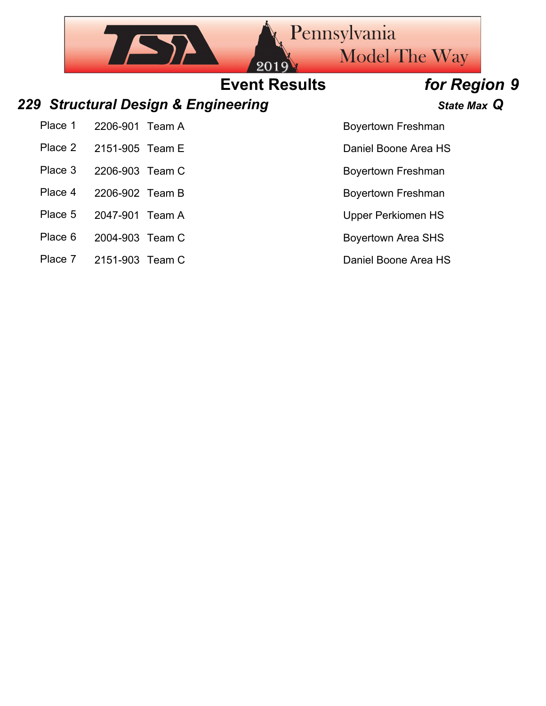## Pennsylvania  $752$ Model The Way **Event Results** *for Region 9 229 Structural Design & Engineering State Max Q* Place 1 2206-901 Team A Boyertown Freshman Place 2 2151-905 Team E Daniel Boone Area HS Place 3 2206-903 Team C Boyertown Freshman

- Place 4 2206-902 Team B Boyertown Freshman
- Place 5 2047-901 Team A Upper Perkiomen HS
- Place 6 2004-903 Team C Boyertown Area SHS
- Place 7 2151-903 Team C Daniel Boone Area HS
- 
- 
- -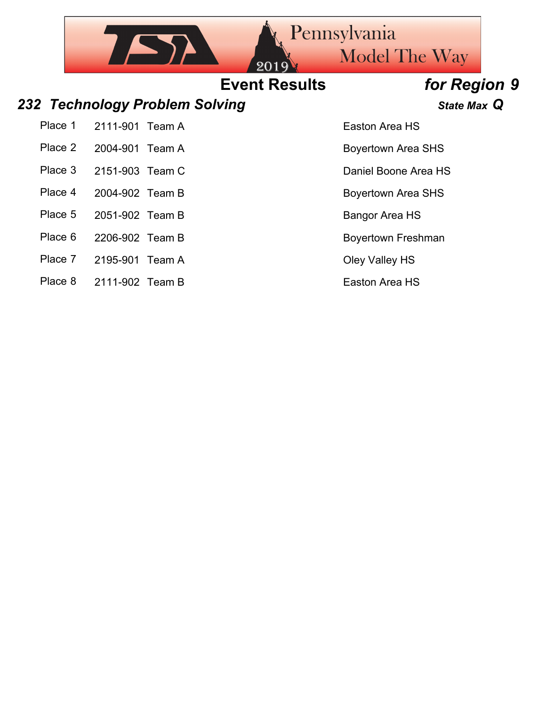## **Event Results** *for Region 9*

### *232 Technology Problem Solving State Max Q*

 $\sqrt{2}$ 

Place 1 2111-901 Team A Easton Area HS Place 2 2004-901 Team A Boyertown Area SHS Place 3 2151-903 Team C Daniel Boone Area HS Place 4 2004-902 Team B Boyertown Area SHS

Place 5 2051-902 Team B Bangor Area HS

Place 6 2206-902 Team B Boyertown Freshman

Place 7 2195-901 Team A Cley Valley HS

Place 8 2111-902 Team B Easton Area HS

Pennsylvania

Model The Way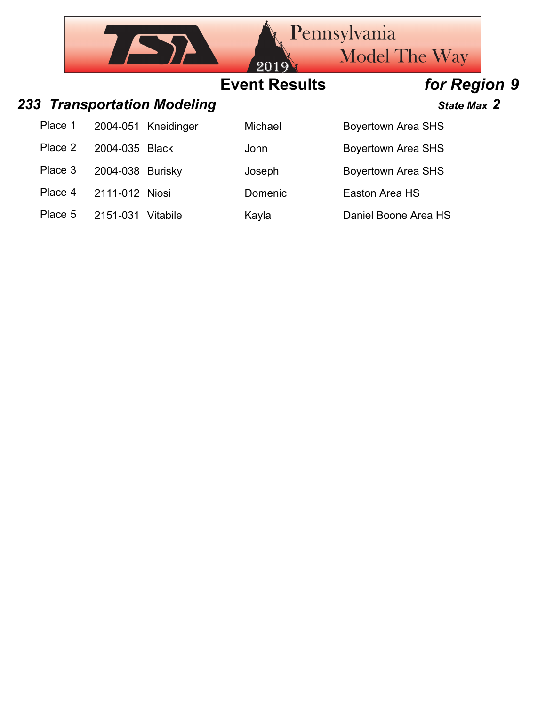|         | Pennsylvania<br><b>Model The Way</b> |                             |                              |                           |  |
|---------|--------------------------------------|-----------------------------|------------------------------|---------------------------|--|
|         |                                      |                             | 2019<br><b>Event Results</b> | for Region 9              |  |
|         |                                      | 233 Transportation Modeling |                              | State Max 2               |  |
| Place 1 | 2004-051                             | Kneidinger                  | Michael                      | <b>Boyertown Area SHS</b> |  |
| Place 2 | 2004-035                             | <b>Black</b>                | John                         | <b>Boyertown Area SHS</b> |  |
| Place 3 | 2004-038                             | Burisky                     | Joseph                       | <b>Boyertown Area SHS</b> |  |
| Place 4 | 2111-012 Niosi                       |                             | Domenic                      | Easton Area HS            |  |
| Place 5 | 2151-031 Vitabile                    |                             | Kayla                        | Daniel Boone Area HS      |  |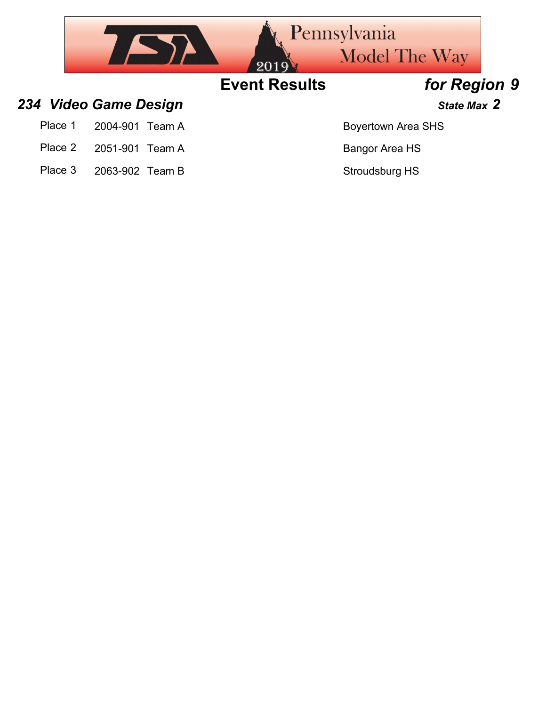

- 
- 
- Place 3 2063-902 Team B Stroudsburg HS

Place 2 2051-901 Team A Bangor Area HS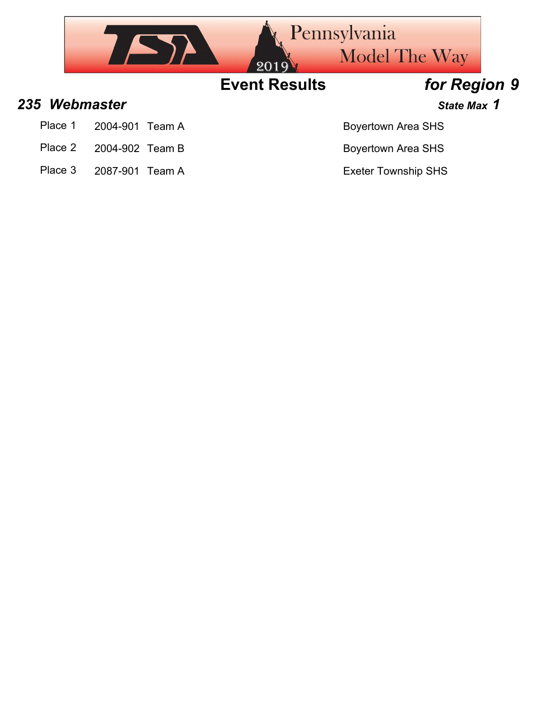

- Place 1 2004-901 Team A Boyertown Area SHS
- Place 2 2004-902 Team B Boyertown Area SHS
- Place 3 2087-901 Team A Exeter Township SHS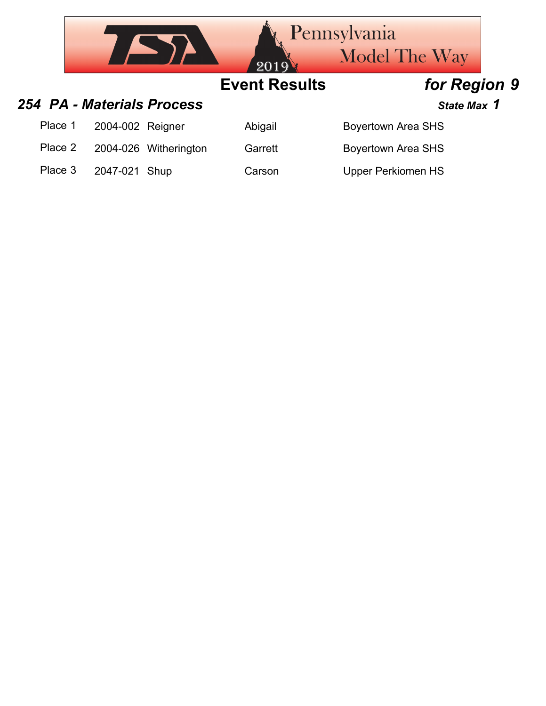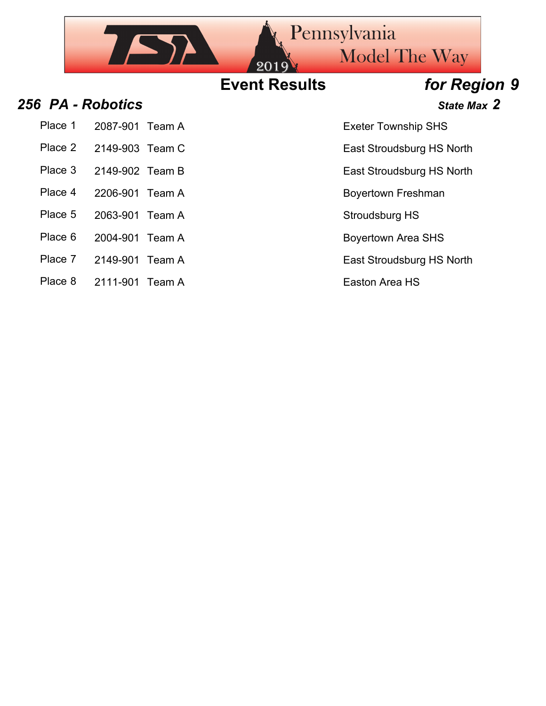

- Place 1 2087-901 Team A Exeter Township SHS
- 
- 
- 
- 
- Place 5 2063-901 Team A Stroudsburg HS
- Place 6 2004-901 Team A Boyertown Area SHS
- Place 7 2149-901 Team A East Stroudsburg HS North
- Place 8 2111-901 Team A Easton Area HS

- Place 2 2149-903 Team C East Stroudsburg HS North
- Place 3 2149-902 Team B East Stroudsburg HS North
- Place 4 2206-901 Team A Boyertown Freshman
	-
	-
	-
	-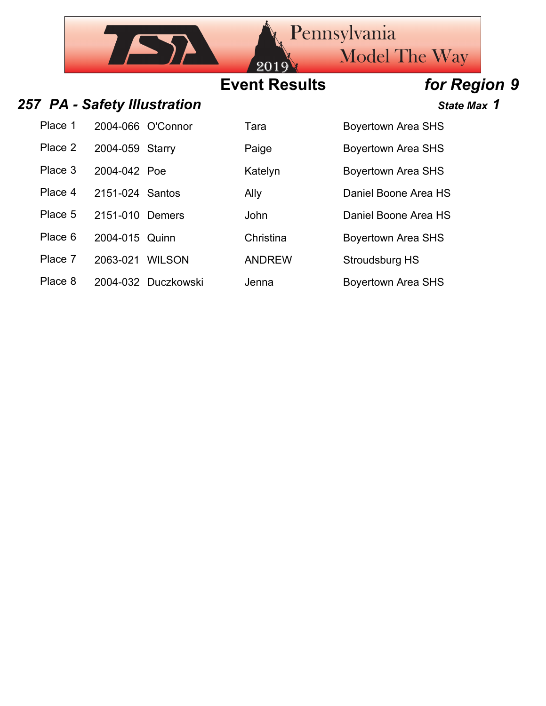## **Event Results** *for Region 9*

### 257 PA - Safety Illustration *257 PA - Safety Illustration*

 $752$ 

| Place 1 | 2004-066 O'Connor                                                | Tara    | <b>Boyertown Area SHS</b> |
|---------|------------------------------------------------------------------|---------|---------------------------|
| Place 2 | 2004-059 Starry                                                  | Paige   | <b>Boyertown Area SHS</b> |
| Place 3 | 2004-042 Poe                                                     | Katelyn | <b>Boyertown Area SHS</b> |
|         | $\mathbf{D}$ $\mathbf{A}$ $\mathbf{A}$ $\mathbf{A}$ $\mathbf{A}$ |         |                           |

- 
- 
- Place 7 2063-021 WILSON ANDREW Stroudsburg HS
- Place 8 2004-032 Duczkowski Jenna Boyertown Area SHS

| ı ara   |
|---------|
| Paige   |
| Katelyn |

| <b>Boyertown Area SHS</b> |  |
|---------------------------|--|
| <b>Boyertown Area SHS</b> |  |
| <b>Boyertown Area SHS</b> |  |

Place 4 2151-024 Santos Ally Ally Daniel Boone Area HS

Place 5 2151-010 Demers John Daniel Boone Area HS

Place 6 2004-015 Quinn Christina Boyertown Area SHS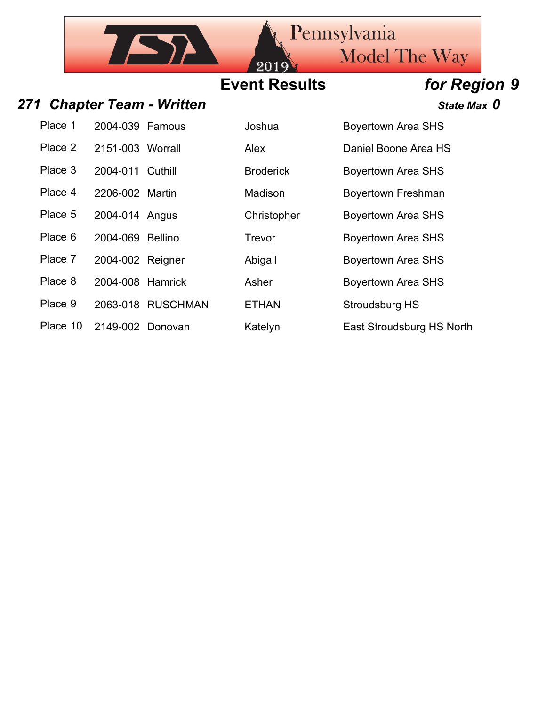## **Event Results** *for Region 9*

20

### 271 Chapter Team - Written *Chapter Team - Written* **State Max** 0

IAN

| Place 1 | 2004-039 Famous  |                 |
|---------|------------------|-----------------|
| Place 2 | 2151-003 Worrall |                 |
| Place 3 | 2004-011 Cuthill |                 |
| Place 4 | 2206-002 Martin  |                 |
| Place 5 | 2004-014 Angus   |                 |
| Place 6 | 2004-069 Bellino |                 |
| Place 7 | 2004-002 Reigner |                 |
| Place 8 | 2004-008 Hamrick |                 |
| Place 9 |                  | 2063-018 RUSCHM |
|         |                  |                 |

Place 10 2149-002 Donovan Kately

| Place 1  | 2004-039 Famous  |                   | Joshua           | <b>Boyertown Area SHS</b> |
|----------|------------------|-------------------|------------------|---------------------------|
| Place 2  | 2151-003 Worrall |                   | Alex             | Daniel Boone Area HS      |
| Place 3  | 2004-011 Cuthill |                   | <b>Broderick</b> | <b>Boyertown Area SHS</b> |
| Place 4  | 2206-002 Martin  |                   | Madison          | <b>Boyertown Freshman</b> |
| Place 5  | 2004-014 Angus   |                   | Christopher      | <b>Boyertown Area SHS</b> |
| Place 6  | 2004-069 Bellino |                   | Trevor           | <b>Boyertown Area SHS</b> |
| Place 7  | 2004-002 Reigner |                   | Abigail          | <b>Boyertown Area SHS</b> |
| Place 8  | 2004-008 Hamrick |                   | Asher            | <b>Boyertown Area SHS</b> |
| Place 9  |                  | 2063-018 RUSCHMAN | <b>ETHAN</b>     | Stroudsburg HS            |
| Place 10 | 2149-002 Donovan |                   | Katelyn          | East Stroudsburg HS North |

Pennsylvania

Model The Way